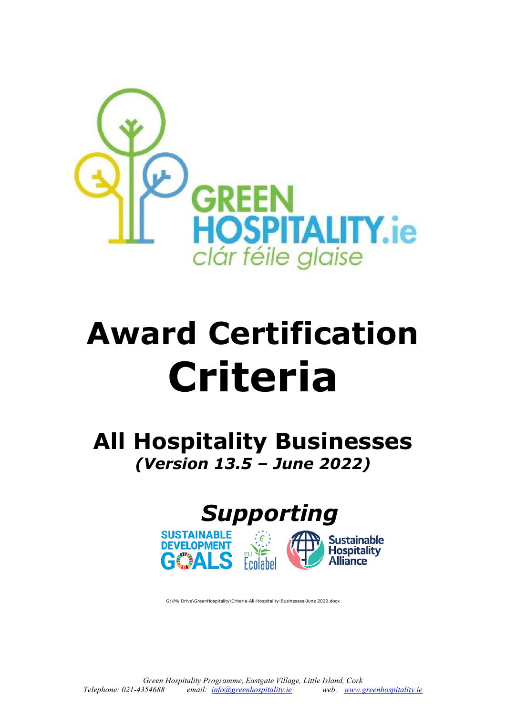

# **Award Certification Criteria**

**All Hospitality Businesses** *(Version 13.5 – June 2022)*





G:\My Drive\GreenHospitality\Criteria-All-Hospitality-Businesses-June 2022.docx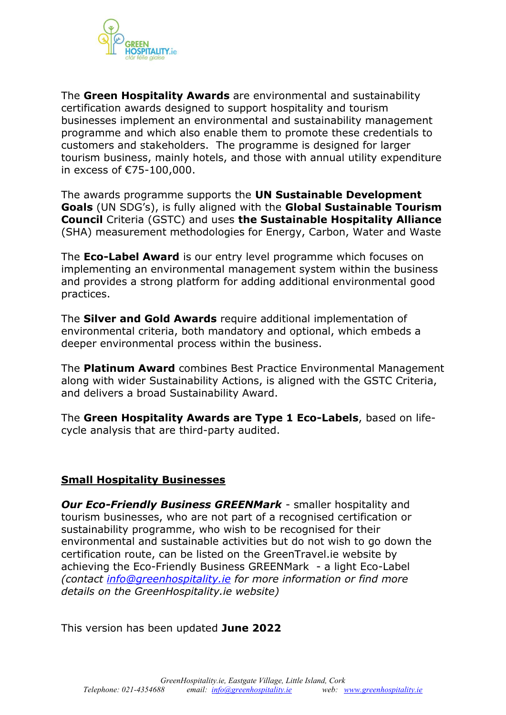

The **Green Hospitality Awards** are environmental and sustainability certification awards designed to support hospitality and tourism businesses implement an environmental and sustainability management programme and which also enable them to promote these credentials to customers and stakeholders. The programme is designed for larger tourism business, mainly hotels, and those with annual utility expenditure in excess of €75-100,000.

The awards programme supports the **UN Sustainable Development Goals** (UN SDG's), is fully aligned with the **Global Sustainable Tourism Council** Criteria (GSTC) and uses **the Sustainable Hospitality Alliance**  (SHA) measurement methodologies for Energy, Carbon, Water and Waste

The **Eco-Label Award** is our entry level programme which focuses on implementing an environmental management system within the business and provides a strong platform for adding additional environmental good practices.

The **Silver and Gold Awards** require additional implementation of environmental criteria, both mandatory and optional, which embeds a deeper environmental process within the business.

The **Platinum Award** combines Best Practice Environmental Management along with wider Sustainability Actions, is aligned with the GSTC Criteria, and delivers a broad Sustainability Award.

The **Green Hospitality Awards are Type 1 Eco-Labels**, based on lifecycle analysis that are third-party audited.

#### **Small Hospitality Businesses**

*Our Eco-Friendly Business GREENMark* - smaller hospitality and tourism businesses, who are not part of a recognised certification or sustainability programme, who wish to be recognised for their environmental and sustainable activities but do not wish to go down the certification route, can be listed on the GreenTravel.ie website by achieving the Eco-Friendly Business GREENMark - a light Eco-Label *(contact [info@greenhospitality.ie](mailto:info@greenhospitality.ie) for more information or find more details on the GreenHospitality.ie website)* 

This version has been updated **June 2022**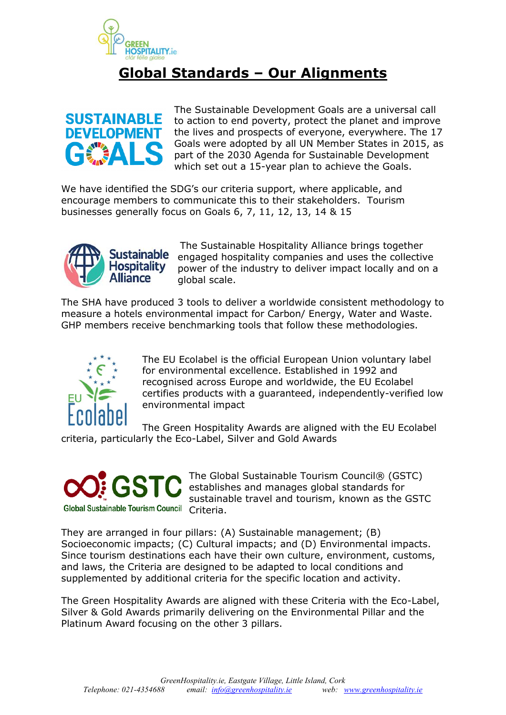

# **Global Standards – Our Alignments**



The Sustainable Development Goals are a universal call to action to end poverty, protect the planet and improve the lives and prospects of everyone, everywhere. The 17 Goals were adopted by all UN Member States in 2015, as part of the 2030 Agenda for Sustainable Development which set out a 15-year plan to achieve the Goals.

We have identified the SDG's our criteria support, where applicable, and encourage members to communicate this to their stakeholders. Tourism businesses generally focus on Goals 6, 7, 11, 12, 13, 14 & 15



The Sustainable Hospitality Alliance brings together engaged hospitality companies and uses the collective power of the industry to deliver impact locally and on a global scale.

The SHA have produced 3 tools to deliver a worldwide consistent methodology to measure a hotels environmental impact for Carbon/ Energy, Water and Waste. GHP members receive benchmarking tools that follow these methodologies.



The EU Ecolabel is the official European Union voluntary label for environmental excellence. Established in 1992 and recognised across Europe and worldwide, the EU Ecolabel certifies products with a guaranteed, independently-verified low environmental impact

The Green Hospitality Awards are aligned with the EU Ecolabel criteria, particularly the Eco-Label, Silver and Gold Awards



The Global Sustainable Tourism Council® (GSTC) establishes and manages global standards for sustainable travel and tourism, known as the GSTC

They are arranged in four pillars: (A) Sustainable management; (B) Socioeconomic impacts; (C) Cultural impacts; and (D) Environmental impacts. Since tourism destinations each have their own culture, environment, customs, and laws, the Criteria are designed to be adapted to local conditions and supplemented by additional criteria for the specific location and activity.

The Green Hospitality Awards are aligned with these Criteria with the Eco-Label, Silver & Gold Awards primarily delivering on the Environmental Pillar and the Platinum Award focusing on the other 3 pillars.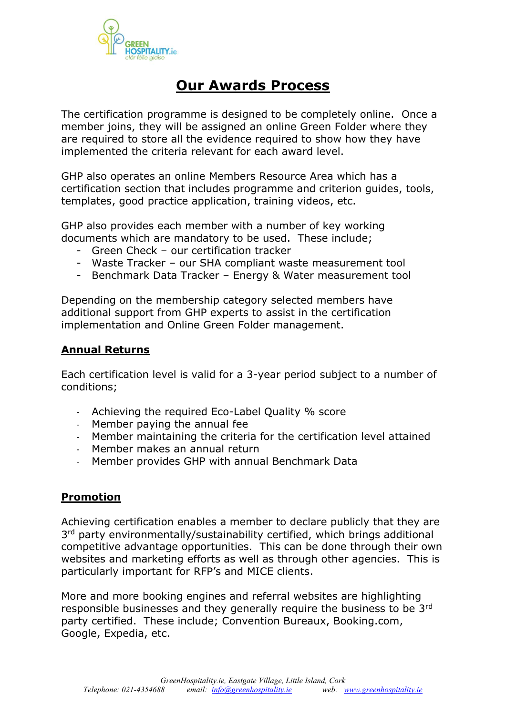

# **Our Awards Process**

The certification programme is designed to be completely online. Once a member joins, they will be assigned an online Green Folder where they are required to store all the evidence required to show how they have implemented the criteria relevant for each award level.

GHP also operates an online Members Resource Area which has a certification section that includes programme and criterion guides, tools, templates, good practice application, training videos, etc.

GHP also provides each member with a number of key working documents which are mandatory to be used. These include;

- Green Check our certification tracker
- Waste Tracker our SHA compliant waste measurement tool
- Benchmark Data Tracker Energy & Water measurement tool

Depending on the membership category selected members have additional support from GHP experts to assist in the certification implementation and Online Green Folder management.

#### **Annual Returns**

Each certification level is valid for a 3-year period subject to a number of conditions;

- Achieving the required Eco-Label Quality % score
- Member paying the annual fee
- Member maintaining the criteria for the certification level attained
- Member makes an annual return
- Member provides GHP with annual Benchmark Data

#### **Promotion**

Achieving certification enables a member to declare publicly that they are 3<sup>rd</sup> party environmentally/sustainability certified, which brings additional competitive advantage opportunities. This can be done through their own websites and marketing efforts as well as through other agencies. This is particularly important for RFP's and MICE clients.

More and more booking engines and referral websites are highlighting responsible businesses and they generally require the business to be 3rd party certified. These include; Convention Bureaux, Booking.com, Google, Expedia, etc.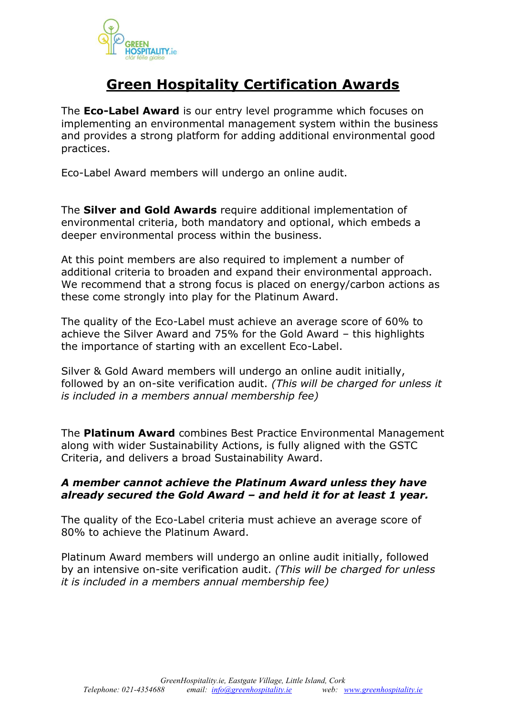

# **Green Hospitality Certification Awards**

The **Eco-Label Award** is our entry level programme which focuses on implementing an environmental management system within the business and provides a strong platform for adding additional environmental good practices.

Eco-Label Award members will undergo an online audit.

The **Silver and Gold Awards** require additional implementation of environmental criteria, both mandatory and optional, which embeds a deeper environmental process within the business.

At this point members are also required to implement a number of additional criteria to broaden and expand their environmental approach. We recommend that a strong focus is placed on energy/carbon actions as these come strongly into play for the Platinum Award.

The quality of the Eco-Label must achieve an average score of 60% to achieve the Silver Award and 75% for the Gold Award – this highlights the importance of starting with an excellent Eco-Label.

Silver & Gold Award members will undergo an online audit initially, followed by an on-site verification audit. *(This will be charged for unless it is included in a members annual membership fee)* 

The **Platinum Award** combines Best Practice Environmental Management along with wider Sustainability Actions, is fully aligned with the GSTC Criteria, and delivers a broad Sustainability Award.

#### *A member cannot achieve the Platinum Award unless they have already secured the Gold Award – and held it for at least 1 year.*

The quality of the Eco-Label criteria must achieve an average score of 80% to achieve the Platinum Award.

Platinum Award members will undergo an online audit initially, followed by an intensive on-site verification audit. *(This will be charged for unless it is included in a members annual membership fee)*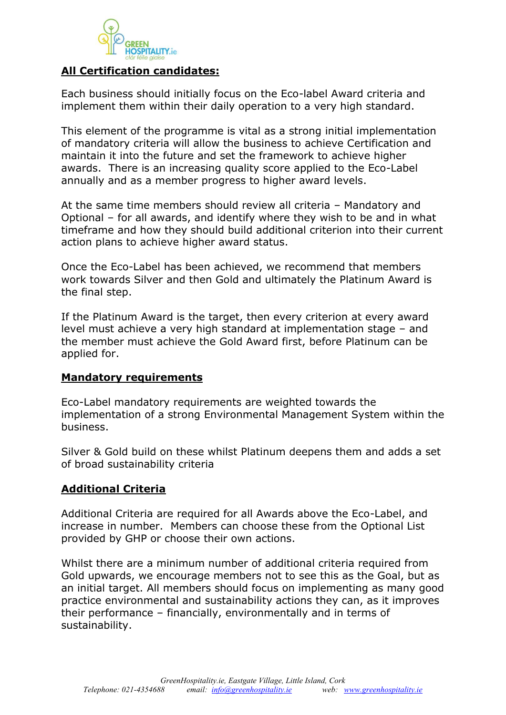

#### **All Certification candidates:**

Each business should initially focus on the Eco-label Award criteria and implement them within their daily operation to a very high standard.

This element of the programme is vital as a strong initial implementation of mandatory criteria will allow the business to achieve Certification and maintain it into the future and set the framework to achieve higher awards. There is an increasing quality score applied to the Eco-Label annually and as a member progress to higher award levels.

At the same time members should review all criteria – Mandatory and Optional – for all awards, and identify where they wish to be and in what timeframe and how they should build additional criterion into their current action plans to achieve higher award status.

Once the Eco-Label has been achieved, we recommend that members work towards Silver and then Gold and ultimately the Platinum Award is the final step.

If the Platinum Award is the target, then every criterion at every award level must achieve a very high standard at implementation stage – and the member must achieve the Gold Award first, before Platinum can be applied for.

#### **Mandatory requirements**

Eco-Label mandatory requirements are weighted towards the implementation of a strong Environmental Management System within the business.

Silver & Gold build on these whilst Platinum deepens them and adds a set of broad sustainability criteria

#### **Additional Criteria**

Additional Criteria are required for all Awards above the Eco-Label, and increase in number. Members can choose these from the Optional List provided by GHP or choose their own actions.

Whilst there are a minimum number of additional criteria required from Gold upwards, we encourage members not to see this as the Goal, but as an initial target. All members should focus on implementing as many good practice environmental and sustainability actions they can, as it improves their performance – financially, environmentally and in terms of sustainability.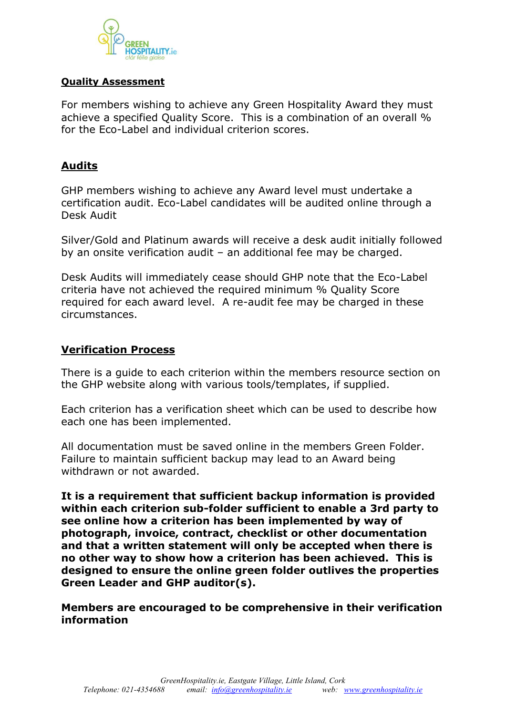

#### **Quality Assessment**

For members wishing to achieve any Green Hospitality Award they must achieve a specified Quality Score. This is a combination of an overall % for the Eco-Label and individual criterion scores.

## **Audits**

GHP members wishing to achieve any Award level must undertake a certification audit. Eco-Label candidates will be audited online through a Desk Audit

Silver/Gold and Platinum awards will receive a desk audit initially followed by an onsite verification audit – an additional fee may be charged.

Desk Audits will immediately cease should GHP note that the Eco-Label criteria have not achieved the required minimum % Quality Score required for each award level. A re-audit fee may be charged in these circumstances.

#### **Verification Process**

There is a guide to each criterion within the members resource section on the GHP website along with various tools/templates, if supplied.

Each criterion has a verification sheet which can be used to describe how each one has been implemented.

All documentation must be saved online in the members Green Folder. Failure to maintain sufficient backup may lead to an Award being withdrawn or not awarded.

**It is a requirement that sufficient backup information is provided within each criterion sub-folder sufficient to enable a 3rd party to see online how a criterion has been implemented by way of photograph, invoice, contract, checklist or other documentation and that a written statement will only be accepted when there is no other way to show how a criterion has been achieved. This is designed to ensure the online green folder outlives the properties Green Leader and GHP auditor(s).**

**Members are encouraged to be comprehensive in their verification information**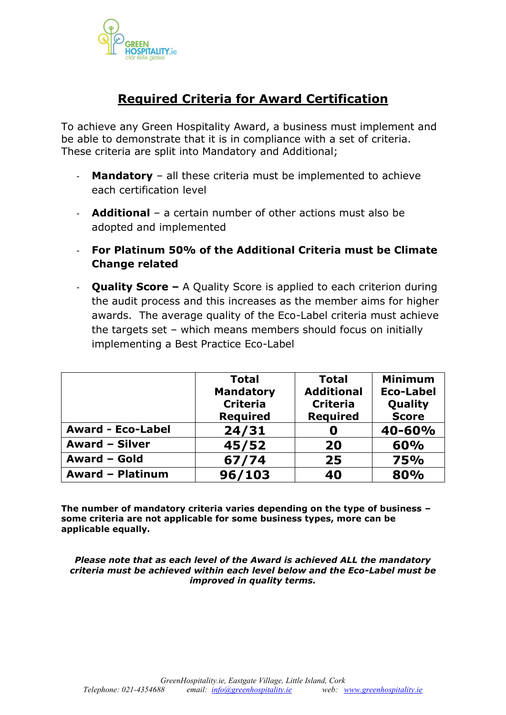

# **Required Criteria for Award Certification**

To achieve any Green Hospitality Award, a business must implement and be able to demonstrate that it is in compliance with a set of criteria. These criteria are split into Mandatory and Additional;

- **Mandatory** all these criteria must be implemented to achieve each certification level
- **Additional** a certain number of other actions must also be adopted and implemented
- **For Platinum 50% of the Additional Criteria must be Climate Change related**
- **Quality Score –** A Quality Score is applied to each criterion during the audit process and this increases as the member aims for higher awards. The average quality of the Eco-Label criteria must achieve the targets set – which means members should focus on initially implementing a Best Practice Eco-Label

|                          | <b>Total</b>     | <b>Total</b>      | <b>Minimum</b>   |
|--------------------------|------------------|-------------------|------------------|
|                          | <b>Mandatory</b> | <b>Additional</b> | <b>Eco-Label</b> |
|                          | <b>Criteria</b>  | <b>Criteria</b>   | Quality          |
|                          | <b>Required</b>  | <b>Required</b>   | <b>Score</b>     |
| <b>Award - Eco-Label</b> | 24/31            |                   | 40-60%           |
| <b>Award - Silver</b>    | 45/52            | 20                | 60%              |
| Award - Gold             | 67/74            | 25                | <b>75%</b>       |
| <b>Award - Platinum</b>  | 96/103           | 40                | 80%              |

**The number of mandatory criteria varies depending on the type of business – some criteria are not applicable for some business types, more can be applicable equally.**

*Please note that as each level of the Award is achieved ALL the mandatory criteria must be achieved within each level below and the Eco-Label must be improved in quality terms.*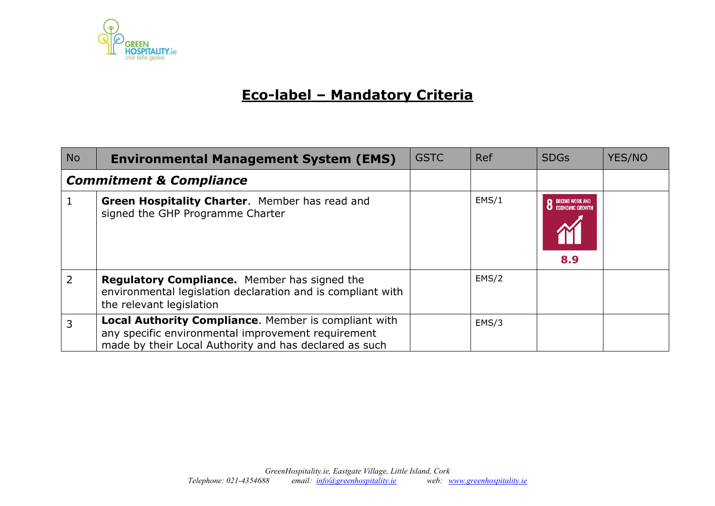

# **Eco-label – Mandatory Criteria**

| <b>No</b> | <b>Environmental Management System (EMS)</b>                                                                                                                         | <b>GSTC</b> | Ref   | <b>SDGs</b>                               | YES/NO |
|-----------|----------------------------------------------------------------------------------------------------------------------------------------------------------------------|-------------|-------|-------------------------------------------|--------|
|           | <b>Commitment &amp; Compliance</b>                                                                                                                                   |             |       |                                           |        |
|           | Green Hospitality Charter. Member has read and<br>signed the GHP Programme Charter                                                                                   |             | EMS/1 | DECENT WORK AND<br>FCONOMIC GROWTH<br>8.9 |        |
| 2         | <b>Regulatory Compliance.</b> Member has signed the<br>environmental legislation declaration and is compliant with<br>the relevant legislation                       |             | EMS/2 |                                           |        |
| 3         | Local Authority Compliance. Member is compliant with<br>any specific environmental improvement requirement<br>made by their Local Authority and has declared as such |             | EMS/3 |                                           |        |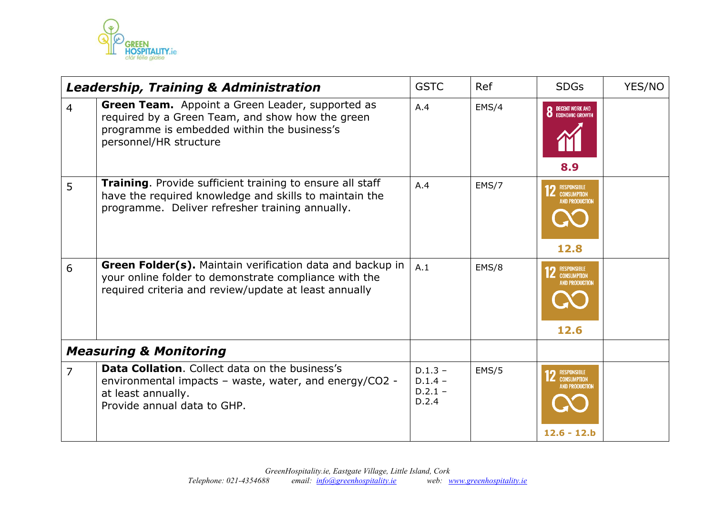

|                | <b>Leadership, Training &amp; Administration</b>                                                                                                                              | <b>GSTC</b>                                  | Ref   | <b>SDGs</b>                                                                   | YES/NO |
|----------------|-------------------------------------------------------------------------------------------------------------------------------------------------------------------------------|----------------------------------------------|-------|-------------------------------------------------------------------------------|--------|
| $\overline{4}$ | Green Team. Appoint a Green Leader, supported as<br>required by a Green Team, and show how the green<br>programme is embedded within the business's<br>personnel/HR structure | A.4                                          | EMS/4 | <b>8</b> DECENT WORK AND ECONOMIC GROWTH<br>8.9                               |        |
| 5              | Training. Provide sufficient training to ensure all staff<br>have the required knowledge and skills to maintain the<br>programme. Deliver refresher training annually.        | A.4                                          | EMS/7 | RESPONSIBLE<br>Consumption<br>AND PRODUCTION<br>12.8                          |        |
| 6              | Green Folder(s). Maintain verification data and backup in<br>your online folder to demonstrate compliance with the<br>required criteria and review/update at least annually   | A.1                                          | EMS/8 | RESPONSIBLE<br><b>CONSUMPTION</b><br>AND PRODUCTION<br>12.6                   |        |
|                | <b>Measuring &amp; Monitoring</b>                                                                                                                                             |                                              |       |                                                                               |        |
| $\overline{7}$ | <b>Data Collation.</b> Collect data on the business's<br>environmental impacts - waste, water, and energy/CO2 -<br>at least annually.<br>Provide annual data to GHP.          | $D.1.3 -$<br>$D.1.4 -$<br>$D.2.1 -$<br>D.2.4 | EMS/5 | <b>2</b> RESPONSIBLE<br><b>CONSUMPTION</b><br>AND PRODUCTION<br>$12.6 - 12.b$ |        |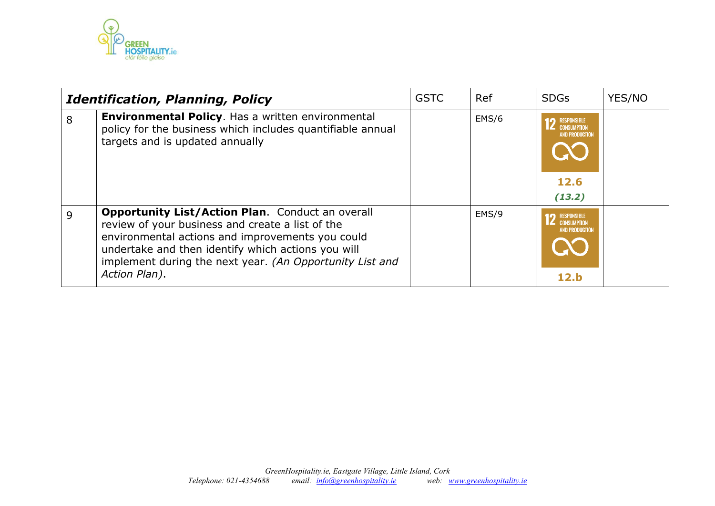

|   | <b>Identification, Planning, Policy</b>                                                                                                                                                                                                                                                            | <b>GSTC</b> | Ref   | <b>SDGs</b>                                                                         | YES/NO |
|---|----------------------------------------------------------------------------------------------------------------------------------------------------------------------------------------------------------------------------------------------------------------------------------------------------|-------------|-------|-------------------------------------------------------------------------------------|--------|
| 8 | Environmental Policy. Has a written environmental<br>policy for the business which includes quantifiable annual<br>targets and is updated annually                                                                                                                                                 |             | EMS/6 | <b>RESPONSIBLE</b><br><b>CONSUMPTION</b><br><b>AND PRODUCTION</b><br>12.6<br>(13.2) |        |
| 9 | <b>Opportunity List/Action Plan.</b> Conduct an overall<br>review of your business and create a list of the<br>environmental actions and improvements you could<br>undertake and then identify which actions you will<br>implement during the next year. (An Opportunity List and<br>Action Plan). |             | EMS/9 | <b>RESPONSIBLE</b><br><b>CONSUMPTION</b><br><b>AND PRODUCTION</b><br>12.b           |        |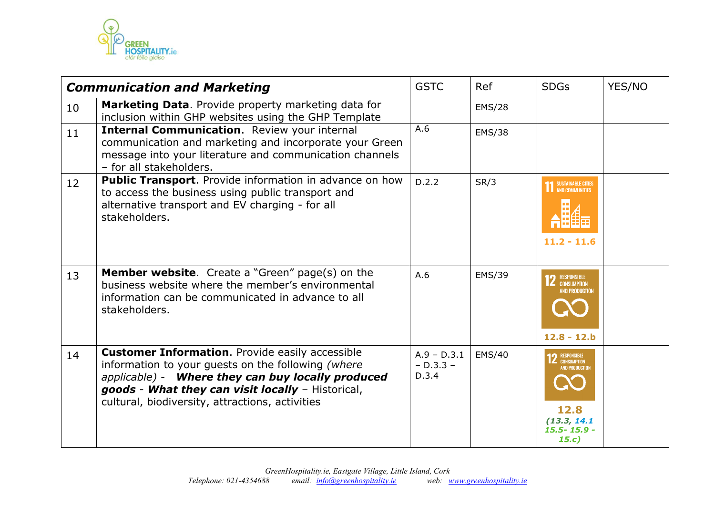

|                 | <b>Communication and Marketing</b>                                                                                                                                                                                                                                        | <b>GSTC</b>                           | Ref           | <b>SDGs</b>                                                                                      | YES/NO |
|-----------------|---------------------------------------------------------------------------------------------------------------------------------------------------------------------------------------------------------------------------------------------------------------------------|---------------------------------------|---------------|--------------------------------------------------------------------------------------------------|--------|
| 10              | Marketing Data. Provide property marketing data for<br>inclusion within GHP websites using the GHP Template                                                                                                                                                               |                                       | <b>EMS/28</b> |                                                                                                  |        |
| 11              | <b>Internal Communication.</b> Review your internal<br>communication and marketing and incorporate your Green<br>message into your literature and communication channels<br>- for all stakeholders.                                                                       | A.6                                   | <b>EMS/38</b> |                                                                                                  |        |
| 12 <sup>2</sup> | <b>Public Transport.</b> Provide information in advance on how<br>to access the business using public transport and<br>alternative transport and EV charging - for all<br>stakeholders.                                                                                   | D.2.2                                 | SR/3          | SUSTAINABLE CITIES<br>AND COMMUNITIES<br>$11.2 - 11.6$                                           |        |
| 13              | <b>Member website.</b> Create a "Green" page(s) on the<br>business website where the member's environmental<br>information can be communicated in advance to all<br>stakeholders.                                                                                         | A.6                                   | <b>EMS/39</b> | <b>12</b> RESPONSIBLE<br><b>AND PRODUCTION</b><br>$12.8 - 12.b$                                  |        |
| 14              | <b>Customer Information.</b> Provide easily accessible<br>information to your guests on the following (where<br>applicable) - Where they can buy locally produced<br>goods - What they can visit locally - Historical,<br>cultural, biodiversity, attractions, activities | $A.9 - D.3.1$<br>$- D.3.3 -$<br>D.3.4 | EMS/40        | <b>2</b> RESPONSIBLE<br><b>AND PRODUCTION</b><br>12.8<br>(13.3, 14.1)<br>$15.5 - 15.9 -$<br>15.c |        |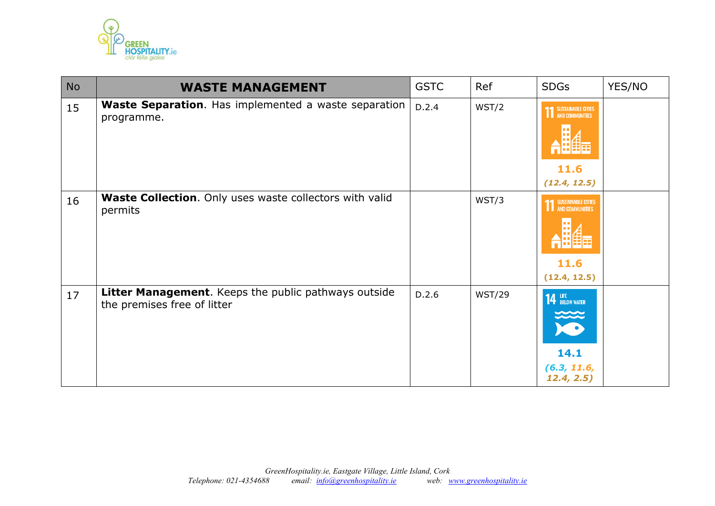

| <b>No</b> | <b>WASTE MANAGEMENT</b>                                                             | <b>GSTC</b> | Ref           | <b>SDGs</b>                                                     | YES/NO |
|-----------|-------------------------------------------------------------------------------------|-------------|---------------|-----------------------------------------------------------------|--------|
| 15        | <b>Waste Separation.</b> Has implemented a waste separation<br>programme.           | D.2.4       | WST/2         | <b>11 SUSTAINABLE CITIES</b><br>11.6<br>(12.4, 12.5)            |        |
| 16        | <b>Waste Collection.</b> Only uses waste collectors with valid<br>permits           |             | WST/3         | <b>11 SUSTAINABLE CITIES</b><br>11.6<br>(12.4, 12.5)            |        |
| 17        | Litter Management. Keeps the public pathways outside<br>the premises free of litter | D.2.6       | <b>WST/29</b> | <b>14 LIFE</b> BELOW WATER<br>14.1<br>(6.3, 11.6,<br>12.4, 2.5) |        |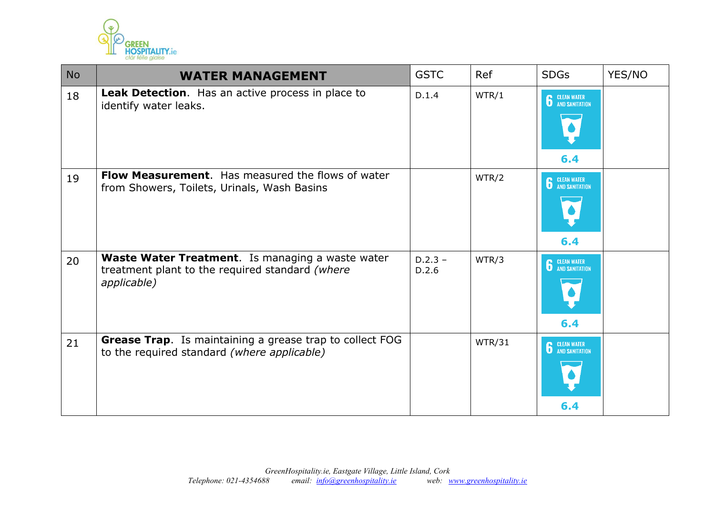

| <b>No</b> | <b>WATER MANAGEMENT</b>                                                                                                   | <b>GSTC</b>        | Ref    | <b>SDGs</b>                 | YES/NO |
|-----------|---------------------------------------------------------------------------------------------------------------------------|--------------------|--------|-----------------------------|--------|
| 18        | Leak Detection. Has an active process in place to<br>identify water leaks.                                                | D.1.4              | WTR/1  | <b>6</b> CLEAN WATER<br>6.4 |        |
| 19        | Flow Measurement. Has measured the flows of water<br>from Showers, Toilets, Urinals, Wash Basins                          |                    | WTR/2  | <b>6</b> CLEAN WATER<br>6.4 |        |
| 20        | <b>Waste Water Treatment.</b> Is managing a waste water<br>treatment plant to the required standard (where<br>applicable) | $D.2.3 -$<br>D.2.6 | WTR/3  | <b>6</b> CLEAN WATER<br>6.4 |        |
| 21        | <b>Grease Trap.</b> Is maintaining a grease trap to collect FOG<br>to the required standard (where applicable)            |                    | WTR/31 | <b>6</b> CLEAN WATER<br>6.4 |        |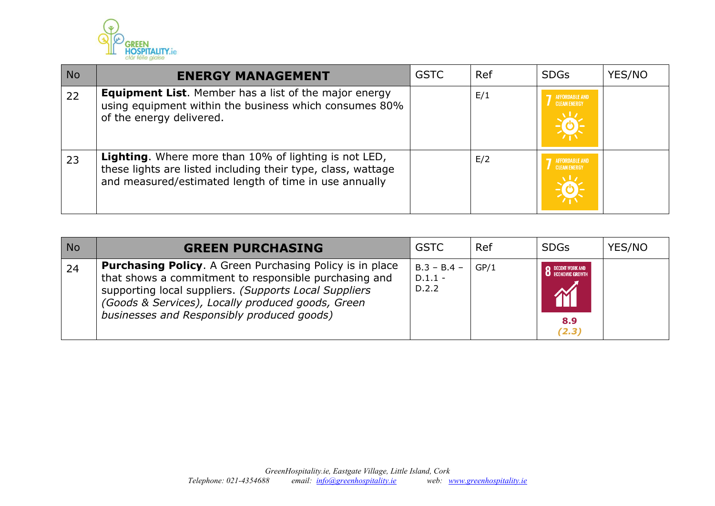

| <b>No</b> | <b>ENERGY MANAGEMENT</b>                                                                                                                                                       | <b>GSTC</b> | Ref | <b>SDGs</b>                                  | YES/NO |
|-----------|--------------------------------------------------------------------------------------------------------------------------------------------------------------------------------|-------------|-----|----------------------------------------------|--------|
| 22        | <b>Equipment List.</b> Member has a list of the major energy<br>using equipment within the business which consumes 80%<br>of the energy delivered.                             |             | E/1 | <b>AFFORDABLE AND</b><br><b>CLEAN ENERGY</b> |        |
| 23        | Lighting. Where more than 10% of lighting is not LED,<br>these lights are listed including their type, class, wattage<br>and measured/estimated length of time in use annually |             | E/2 | <b>AFFORDABLE AND</b><br><b>CLEAN ENERGY</b> |        |

| <b>No</b> | <b>GREEN PURCHASING</b>                                                                                                                                                                                                                                                              | <b>GSTC</b>                         | Ref  | <b>SDGs</b>                                                                     | YES/NO |
|-----------|--------------------------------------------------------------------------------------------------------------------------------------------------------------------------------------------------------------------------------------------------------------------------------------|-------------------------------------|------|---------------------------------------------------------------------------------|--------|
| 24        | <b>Purchasing Policy.</b> A Green Purchasing Policy is in place<br>that shows a commitment to responsible purchasing and<br>supporting local suppliers. (Supports Local Suppliers<br>(Goods & Services), Locally produced goods, Green<br>businesses and Responsibly produced goods) | $B.3 - B.4 -$<br>$D.1.1 -$<br>D.2.2 | GP/1 | <b>DECENT WORK AND</b><br><b>O</b> ECONOMIC GROWTH<br><b>XX</b><br>8.9<br>(2.3) |        |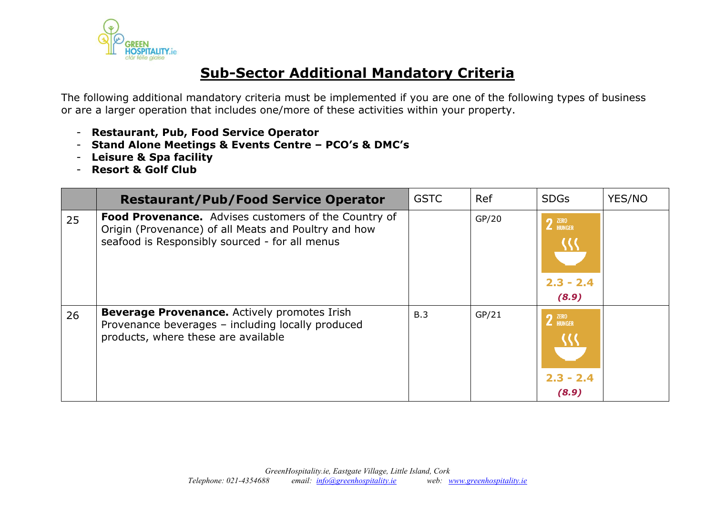

# **Sub-Sector Additional Mandatory Criteria**

The following additional mandatory criteria must be implemented if you are one of the following types of business or are a larger operation that includes one/more of these activities within your property.

- **Restaurant, Pub, Food Service Operator**
- **Stand Alone Meetings & Events Centre – PCO's & DMC's**
- **Leisure & Spa facility**
- **Resort & Golf Club**

|    | <b>Restaurant/Pub/Food Service Operator</b>                                                                                                                           | <b>GSTC</b> | Ref   | <b>SDGs</b>                                                  | YES/NO |
|----|-----------------------------------------------------------------------------------------------------------------------------------------------------------------------|-------------|-------|--------------------------------------------------------------|--------|
| 25 | <b>Food Provenance.</b> Advises customers of the Country of<br>Origin (Provenance) of all Meats and Poultry and how<br>seafood is Responsibly sourced - for all menus |             | GP/20 | $2$ $^{ZERO}$ HUNGER<br>$2.3 - 2.4$<br>(8.9)                 |        |
| 26 | <b>Beverage Provenance.</b> Actively promotes Irish<br>Provenance beverages - including locally produced<br>products, where these are available                       | B.3         | GP/21 | $2$ $^{\tt \tiny ZER0}_{\tt HUNGER}$<br>$2.3 - 2.4$<br>(8.9) |        |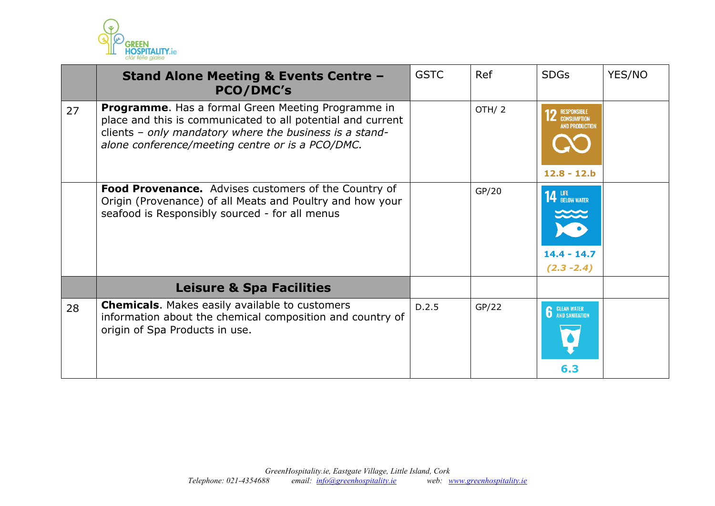

|    | <b>Stand Alone Meeting &amp; Events Centre -</b><br><b>PCO/DMC's</b>                                                                                                                                                             | <b>GSTC</b> | Ref   | <b>SDGs</b>                                                                 | YES/NO |
|----|----------------------------------------------------------------------------------------------------------------------------------------------------------------------------------------------------------------------------------|-------------|-------|-----------------------------------------------------------------------------|--------|
| 27 | Programme. Has a formal Green Meeting Programme in<br>place and this is communicated to all potential and current<br>clients - only mandatory where the business is a stand-<br>alone conference/meeting centre or is a PCO/DMC. |             | OTH/2 | <b>RESPONSIBLE</b><br><b>CONSUMPTION</b><br>AND PRODUCTION<br>$12.8 - 12.b$ |        |
|    | Food Provenance. Advises customers of the Country of<br>Origin (Provenance) of all Meats and Poultry and how your<br>seafood is Responsibly sourced - for all menus                                                              |             | GP/20 | <b>14 LIFE</b><br><b>14 BELOW WATER</b><br>$14.4 - 14.7$<br>$(2.3 - 2.4)$   |        |
|    | <b>Leisure &amp; Spa Facilities</b>                                                                                                                                                                                              |             |       |                                                                             |        |
| 28 | <b>Chemicals.</b> Makes easily available to customers<br>information about the chemical composition and country of<br>origin of Spa Products in use.                                                                             | D.2.5       | GP/22 | <b>6</b> CLEAN WATER<br>6.3                                                 |        |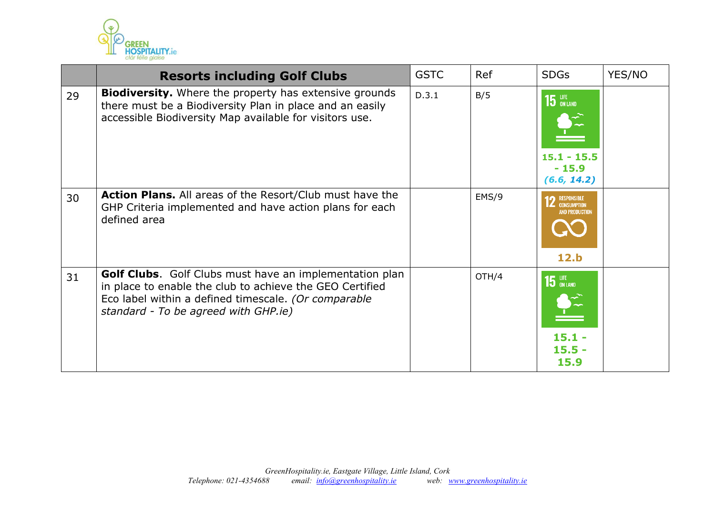

|    | <b>Resorts including Golf Clubs</b>                                                                                                                                                                                        | <b>GSTC</b> | Ref   | <b>SDGs</b>                                                        | YES/NO |
|----|----------------------------------------------------------------------------------------------------------------------------------------------------------------------------------------------------------------------------|-------------|-------|--------------------------------------------------------------------|--------|
| 29 | <b>Biodiversity.</b> Where the property has extensive grounds<br>there must be a Biodiversity Plan in place and an easily<br>accessible Biodiversity Map available for visitors use.                                       | D.3.1       | B/5   | $15$ an land<br>$15.1 - 15.5$<br>$-15.9$<br>(6.6, 14.2)            |        |
| 30 | <b>Action Plans.</b> All areas of the Resort/Club must have the<br>GHP Criteria implemented and have action plans for each<br>defined area                                                                                 |             | EMS/9 | RESPONSIBLE<br><b>CONSUMPTION</b><br><b>AND PRODUCTION</b><br>12.b |        |
| 31 | <b>Golf Clubs.</b> Golf Clubs must have an implementation plan<br>in place to enable the club to achieve the GEO Certified<br>Eco label within a defined timescale. (Or comparable<br>standard - To be agreed with GHP.ie) |             | OTH/4 | $15$ an land<br>$15.1 -$<br>$15.5 -$<br>15.9                       |        |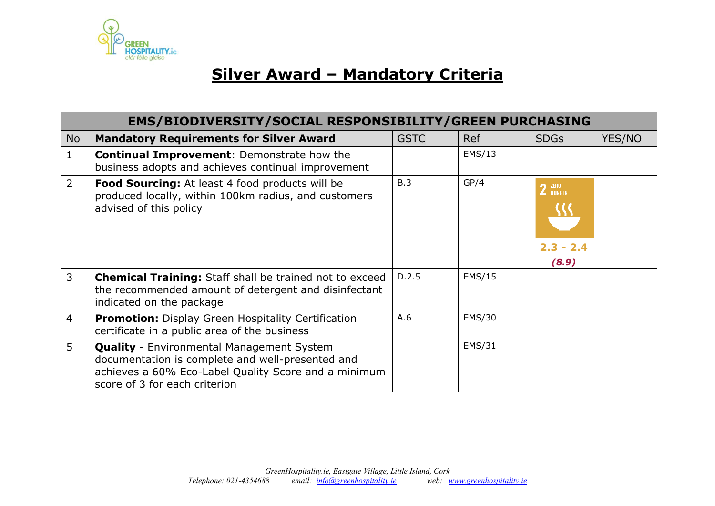

# **Silver Award – Mandatory Criteria**

|                | <b>EMS/BIODIVERSITY/SOCIAL RESPONSIBILITY/GREEN PURCHASING</b>                                                                                                                                |             |            |                                       |        |  |
|----------------|-----------------------------------------------------------------------------------------------------------------------------------------------------------------------------------------------|-------------|------------|---------------------------------------|--------|--|
| <b>No</b>      | <b>Mandatory Requirements for Silver Award</b>                                                                                                                                                | <b>GSTC</b> | <b>Ref</b> | <b>SDGs</b>                           | YES/NO |  |
|                | <b>Continual Improvement: Demonstrate how the</b><br>business adopts and achieves continual improvement                                                                                       |             | EMS/13     |                                       |        |  |
| $\overline{2}$ | Food Sourcing: At least 4 food products will be<br>produced locally, within 100km radius, and customers<br>advised of this policy                                                             | B.3         | GP/4       | $2$ $^{ZERO}$<br>$2.3 - 2.4$<br>(8.9) |        |  |
| 3              | <b>Chemical Training:</b> Staff shall be trained not to exceed<br>the recommended amount of detergent and disinfectant<br>indicated on the package                                            | D.2.5       | EMS/15     |                                       |        |  |
| $\overline{4}$ | <b>Promotion:</b> Display Green Hospitality Certification<br>certificate in a public area of the business                                                                                     | A.6         | EMS/30     |                                       |        |  |
| 5              | <b>Quality</b> - Environmental Management System<br>documentation is complete and well-presented and<br>achieves a 60% Eco-Label Quality Score and a minimum<br>score of 3 for each criterion |             | EMS/31     |                                       |        |  |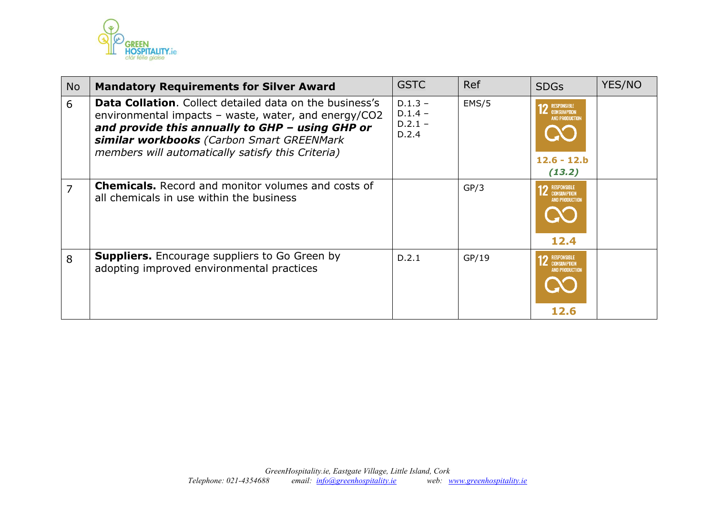

| <b>No</b>      | <b>Mandatory Requirements for Silver Award</b>                                                                                                                                                                                                                              | <b>GSTC</b>                                  | Ref   | <b>SDGs</b>                                                                                     | YES/NO |
|----------------|-----------------------------------------------------------------------------------------------------------------------------------------------------------------------------------------------------------------------------------------------------------------------------|----------------------------------------------|-------|-------------------------------------------------------------------------------------------------|--------|
| 6              | <b>Data Collation.</b> Collect detailed data on the business's<br>environmental impacts - waste, water, and energy/CO2<br>and provide this annually to GHP - using GHP or<br>similar workbooks (Carbon Smart GREENMark<br>members will automatically satisfy this Criteria) | $D.1.3 -$<br>$D.1.4 -$<br>$D.2.1 -$<br>D.2.4 | EMS/5 | <b>12</b> RESPONSIBLE<br><b>CONSUMPTION</b><br><b>AND PRODUCTION</b><br>$12.6 - 12.b$<br>(13.2) |        |
| $\overline{7}$ | <b>Chemicals.</b> Record and monitor volumes and costs of<br>all chemicals in use within the business                                                                                                                                                                       |                                              | GP/3  | RESPONSIBLE<br><b>Z</b> CONSUMPTION<br>AND PRODUCTION<br>12.4                                   |        |
| 8              | <b>Suppliers.</b> Encourage suppliers to Go Green by<br>adopting improved environmental practices                                                                                                                                                                           | D.2.1                                        | GP/19 | RESPONSIBLE<br><b>CONSUMPTION</b><br>AND PRODUCTION<br>12.6                                     |        |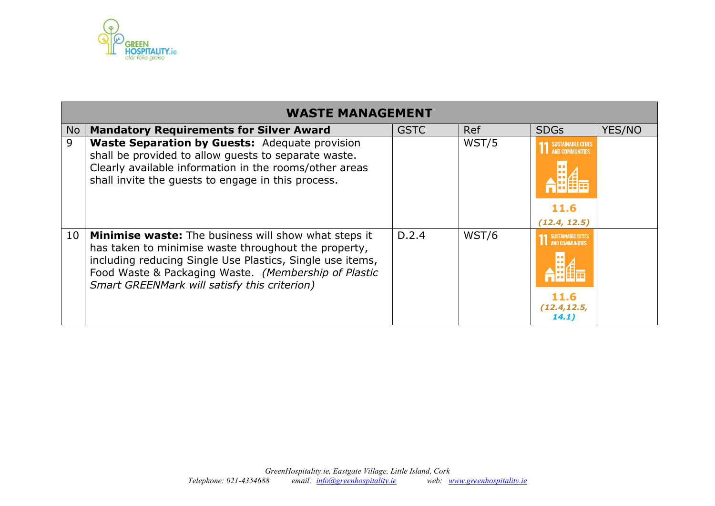

|                 | <b>WASTE MANAGEMENT</b>                                                                                                                                                                                                                                                                  |             |            |                                                                               |        |  |  |  |  |
|-----------------|------------------------------------------------------------------------------------------------------------------------------------------------------------------------------------------------------------------------------------------------------------------------------------------|-------------|------------|-------------------------------------------------------------------------------|--------|--|--|--|--|
| No              | <b>Mandatory Requirements for Silver Award</b>                                                                                                                                                                                                                                           | <b>GSTC</b> | <b>Ref</b> | <b>SDGs</b>                                                                   | YES/NO |  |  |  |  |
| 9               | <b>Waste Separation by Guests: Adequate provision</b><br>shall be provided to allow guests to separate waste.<br>Clearly available information in the rooms/other areas<br>shall invite the quests to engage in this process.                                                            |             | WST/5      | <b>SUSTAINABLE CITIES</b><br>AND COMMUNITIES<br>11.6<br>(12.4, 12.5)          |        |  |  |  |  |
| 10 <sup>°</sup> | <b>Minimise waste:</b> The business will show what steps it<br>has taken to minimise waste throughout the property,<br>including reducing Single Use Plastics, Single use items,<br>Food Waste & Packaging Waste. (Membership of Plastic<br>Smart GREENMark will satisfy this criterion) | D.2.4       | WST/6      | <b>SUSTAINABLE CITIES</b><br>AND COMMUNITIES<br>11.6<br>(12.4, 12.5,<br>14.1) |        |  |  |  |  |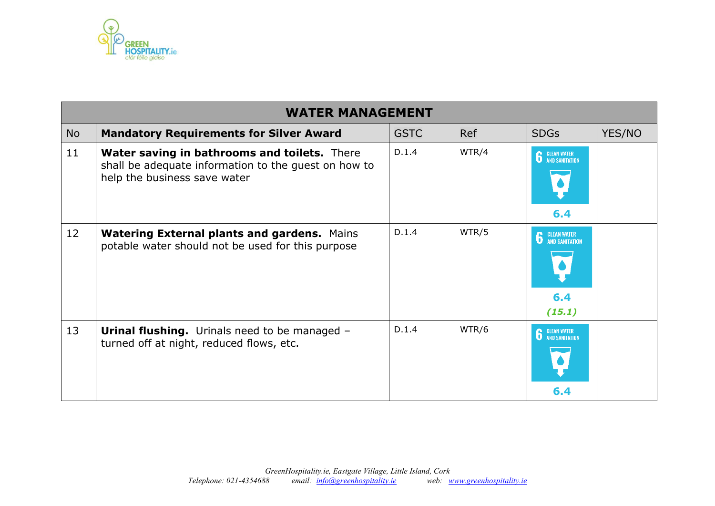

|           | <b>WATER MANAGEMENT</b>                                                                                                                     |             |            |                                                       |        |  |  |  |  |
|-----------|---------------------------------------------------------------------------------------------------------------------------------------------|-------------|------------|-------------------------------------------------------|--------|--|--|--|--|
| <b>No</b> | <b>Mandatory Requirements for Silver Award</b>                                                                                              | <b>GSTC</b> | <b>Ref</b> | <b>SDGs</b>                                           | YES/NO |  |  |  |  |
| 11        | <b>Water saving in bathrooms and toilets.</b> There<br>shall be adequate information to the guest on how to<br>help the business save water | D.1.4       | WTR/4      | <b>6</b> CLEAN WATER<br>6.4                           |        |  |  |  |  |
| 12        | <b>Watering External plants and gardens. Mains</b><br>potable water should not be used for this purpose                                     | D.1.4       | WTR/5      | <b>CLEAN WATER</b><br>AND SANITATION<br>6.4<br>(15.1) |        |  |  |  |  |
| 13        | <b>Urinal flushing.</b> Urinals need to be managed -<br>turned off at night, reduced flows, etc.                                            | D.1.4       | WTR/6      | <b>CLEAN WATER<br/>AND SANITATION</b><br>6.4          |        |  |  |  |  |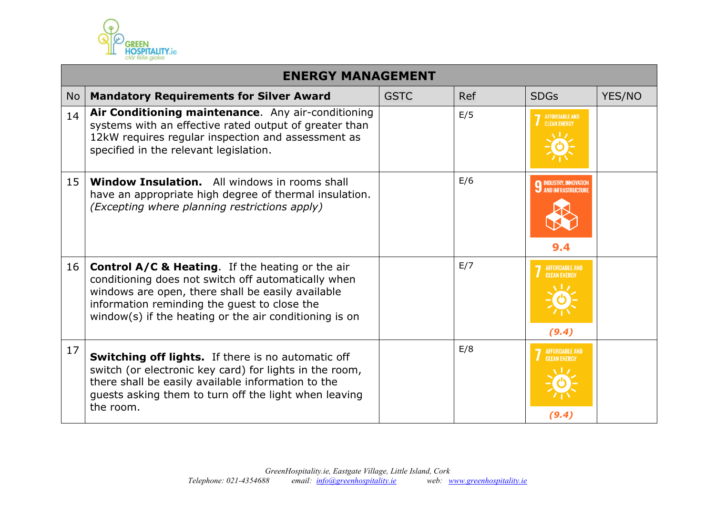

|    | <b>ENERGY MANAGEMENT</b>                                                                                                                                                                                                                                                          |             |     |                                                            |        |  |  |
|----|-----------------------------------------------------------------------------------------------------------------------------------------------------------------------------------------------------------------------------------------------------------------------------------|-------------|-----|------------------------------------------------------------|--------|--|--|
| No | <b>Mandatory Requirements for Silver Award</b>                                                                                                                                                                                                                                    | <b>GSTC</b> | Ref | <b>SDGs</b>                                                | YES/NO |  |  |
| 14 | Air Conditioning maintenance. Any air-conditioning<br>systems with an effective rated output of greater than<br>12kW requires regular inspection and assessment as<br>specified in the relevant legislation.                                                                      |             | E/5 | <b>AFFORDABLE AND</b><br><b>CLEAN ENFRGY</b>               |        |  |  |
| 15 | <b>Window Insulation.</b> All windows in rooms shall<br>have an appropriate high degree of thermal insulation.<br>(Excepting where planning restrictions apply)                                                                                                                   |             | E/6 | <b>9 INDUSTRY, INNOVATION</b><br>AND INFRASTRUCTURE<br>9.4 |        |  |  |
| 16 | <b>Control A/C &amp; Heating.</b> If the heating or the air<br>conditioning does not switch off automatically when<br>windows are open, there shall be easily available<br>information reminding the guest to close the<br>window(s) if the heating or the air conditioning is on |             | E/7 | <b>AFFORDABLE AND</b><br><b>CLEAN ENERGY</b><br>(9.4)      |        |  |  |
| 17 | Switching off lights. If there is no automatic off<br>switch (or electronic key card) for lights in the room,<br>there shall be easily available information to the<br>guests asking them to turn off the light when leaving<br>the room.                                         |             | E/8 | <b>AFFORDABLE AND</b><br><b>CLEAN ENERGY</b><br>(9.4)      |        |  |  |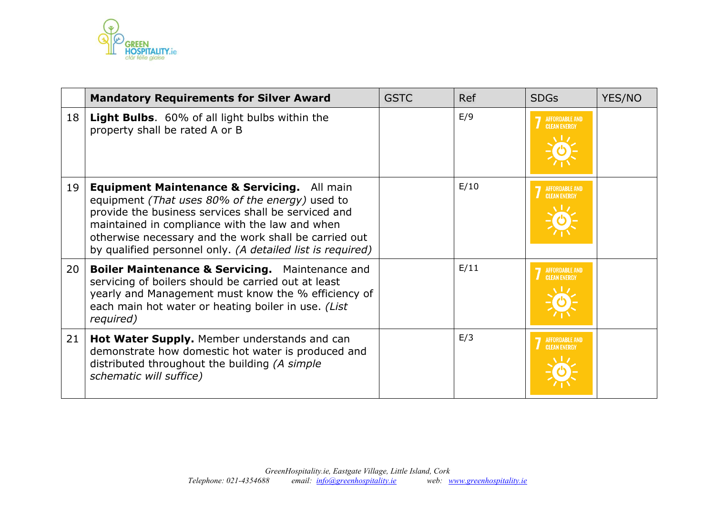

|    | <b>Mandatory Requirements for Silver Award</b>                                                                                                                                                                                                                                                                                 | <b>GSTC</b> | <b>Ref</b> | <b>SDGs</b>                                  | YES/NO |
|----|--------------------------------------------------------------------------------------------------------------------------------------------------------------------------------------------------------------------------------------------------------------------------------------------------------------------------------|-------------|------------|----------------------------------------------|--------|
| 18 | <b>Light Bulbs.</b> 60% of all light bulbs within the<br>property shall be rated A or B                                                                                                                                                                                                                                        |             | E/9        | <b>AFFORDABLE AND</b><br><b>CLEAN ENERGY</b> |        |
| 19 | Equipment Maintenance & Servicing. All main<br>equipment (That uses 80% of the energy) used to<br>provide the business services shall be serviced and<br>maintained in compliance with the law and when<br>otherwise necessary and the work shall be carried out<br>by qualified personnel only. (A detailed list is required) |             | E/10       | <b>AFFORDABLE AND</b><br><b>CLEAN ENERGY</b> |        |
| 20 | <b>Boiler Maintenance &amp; Servicing.</b> Maintenance and<br>servicing of boilers should be carried out at least<br>yearly and Management must know the % efficiency of<br>each main hot water or heating boiler in use. (List<br>required)                                                                                   |             | E/11       | <b>AFFORDABLE AND</b><br><b>CLEAN ENERGY</b> |        |
| 21 | Hot Water Supply. Member understands and can<br>demonstrate how domestic hot water is produced and<br>distributed throughout the building (A simple<br>schematic will suffice)                                                                                                                                                 |             | E/3        | <b>AFFORDABLE AND</b><br><b>CLEAN ENERGY</b> |        |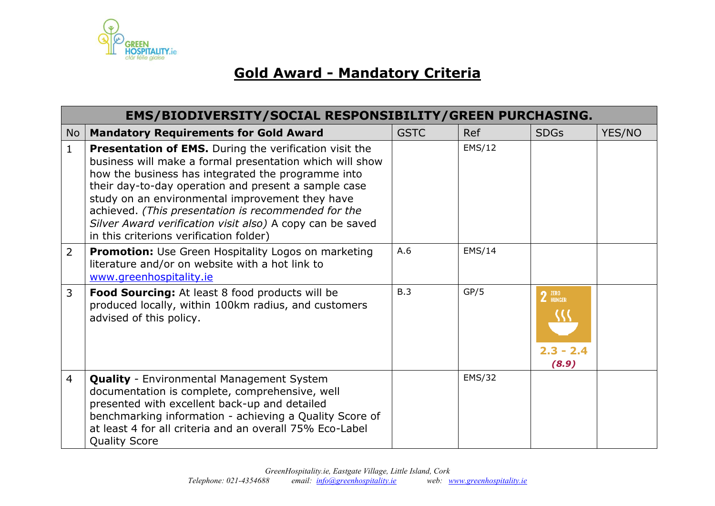

# **Gold Award - Mandatory Criteria**

|                | EMS/BIODIVERSITY/SOCIAL RESPONSIBILITY/GREEN PURCHASING.                                                                                                                                                                                                                                                                                                                                                                                                  |             |               |                                |        |  |
|----------------|-----------------------------------------------------------------------------------------------------------------------------------------------------------------------------------------------------------------------------------------------------------------------------------------------------------------------------------------------------------------------------------------------------------------------------------------------------------|-------------|---------------|--------------------------------|--------|--|
| No             | <b>Mandatory Requirements for Gold Award</b>                                                                                                                                                                                                                                                                                                                                                                                                              | <b>GSTC</b> | <b>Ref</b>    | <b>SDGs</b>                    | YES/NO |  |
| $\mathbf{1}$   | <b>Presentation of EMS.</b> During the verification visit the<br>business will make a formal presentation which will show<br>how the business has integrated the programme into<br>their day-to-day operation and present a sample case<br>study on an environmental improvement they have<br>achieved. (This presentation is recommended for the<br>Silver Award verification visit also) A copy can be saved<br>in this criterions verification folder) |             | EMS/12        |                                |        |  |
| $\overline{2}$ | <b>Promotion:</b> Use Green Hospitality Logos on marketing<br>literature and/or on website with a hot link to<br>www.greenhospitality.ie                                                                                                                                                                                                                                                                                                                  | A.6         | EMS/14        |                                |        |  |
| $\overline{3}$ | Food Sourcing: At least 8 food products will be<br>produced locally, within 100km radius, and customers<br>advised of this policy.                                                                                                                                                                                                                                                                                                                        | B.3         | GP/5          | 2 ZERO<br>$2.3 - 2.4$<br>(8.9) |        |  |
| $\overline{4}$ | <b>Quality</b> - Environmental Management System<br>documentation is complete, comprehensive, well<br>presented with excellent back-up and detailed<br>benchmarking information - achieving a Quality Score of<br>at least 4 for all criteria and an overall 75% Eco-Label<br><b>Quality Score</b>                                                                                                                                                        |             | <b>EMS/32</b> |                                |        |  |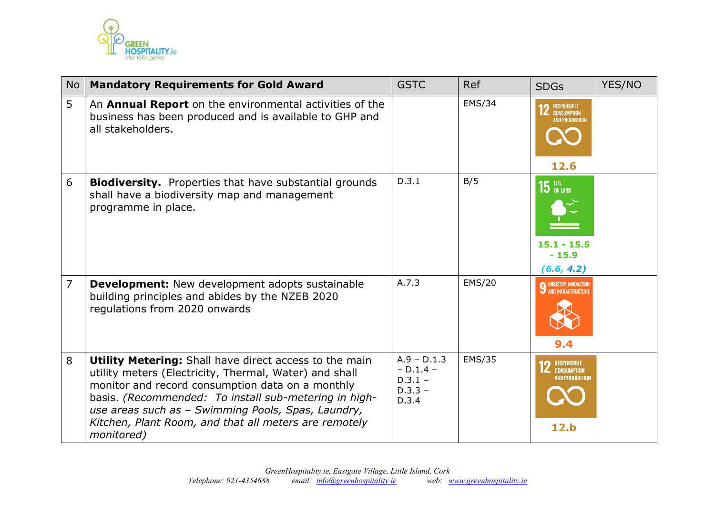

| <b>No</b>      | <b>Mandatory Requirements for Gold Award</b>                                                                                                                                                                                                                                                                                                                      | <b>GSTC</b>                                                     | <b>Ref</b>    | <b>SDGs</b>                                                                  | YES/NO |
|----------------|-------------------------------------------------------------------------------------------------------------------------------------------------------------------------------------------------------------------------------------------------------------------------------------------------------------------------------------------------------------------|-----------------------------------------------------------------|---------------|------------------------------------------------------------------------------|--------|
| 5              | An Annual Report on the environmental activities of the<br>business has been produced and is available to GHP and<br>all stakeholders.                                                                                                                                                                                                                            |                                                                 | EMS/34        | <b>12</b> RESPONSIBLE<br><b>CONSUMPTION</b><br><b>AND PRODUCTION</b><br>12.6 |        |
| 6              | <b>Biodiversity.</b> Properties that have substantial grounds<br>shall have a biodiversity map and management<br>programme in place.                                                                                                                                                                                                                              | D.3.1                                                           | B/5           | $15$ ON LAND<br>$15.1 - 15.5$<br>$-15.9$<br>(6.6, 4.2)                       |        |
| $\overline{7}$ | <b>Development:</b> New development adopts sustainable<br>building principles and abides by the NZEB 2020<br>regulations from 2020 onwards                                                                                                                                                                                                                        | A.7.3                                                           | <b>EMS/20</b> | <b>9 INDUSTRY, INNOVATION</b><br><b>9</b> AND INFRASTRUCTURE<br>9.4          |        |
| 8              | <b>Utility Metering:</b> Shall have direct access to the main<br>utility meters (Electricity, Thermal, Water) and shall<br>monitor and record consumption data on a monthly<br>basis. (Recommended: To install sub-metering in high-<br>use areas such as - Swimming Pools, Spas, Laundry,<br>Kitchen, Plant Room, and that all meters are remotely<br>monitored) | $A.9 - D.1.3$<br>$- D.1.4 -$<br>$D.3.1 -$<br>$D.3.3 -$<br>D.3.4 | EMS/35        | RESPONSIBLE<br><b>CONSUMPTION</b><br><b>AND PRODUCTION</b><br>12.b           |        |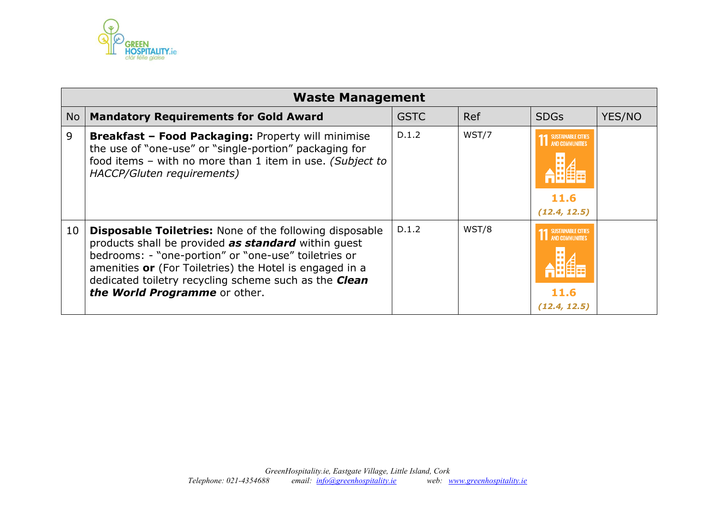

|    | <b>Waste Management</b>                                                                                                                                                                                                                                                                                                            |             |       |                                                                      |        |  |  |  |  |
|----|------------------------------------------------------------------------------------------------------------------------------------------------------------------------------------------------------------------------------------------------------------------------------------------------------------------------------------|-------------|-------|----------------------------------------------------------------------|--------|--|--|--|--|
| No | <b>Mandatory Requirements for Gold Award</b>                                                                                                                                                                                                                                                                                       | <b>GSTC</b> | Ref   | <b>SDGs</b>                                                          | YES/NO |  |  |  |  |
| 9  | <b>Breakfast - Food Packaging: Property will minimise</b><br>the use of "one-use" or "single-portion" packaging for<br>food items - with no more than 1 item in use. (Subject to<br>HACCP/Gluten requirements)                                                                                                                     | D.1.2       | WST/7 | <b>SUSTAINABLE CITIES</b><br>AND COMMUNITIES<br>11.6<br>(12.4, 12.5) |        |  |  |  |  |
| 10 | <b>Disposable Toiletries:</b> None of the following disposable<br>products shall be provided as standard within quest<br>bedrooms: - "one-portion" or "one-use" toiletries or<br>amenities or (For Toiletries) the Hotel is engaged in a<br>dedicated toiletry recycling scheme such as the Clean<br>the World Programme or other. | D.1.2       | WST/8 | <b>SUSTAINABLE CITIES</b><br>AND COMMUNITIES<br>11.6<br>(12.4, 12.5) |        |  |  |  |  |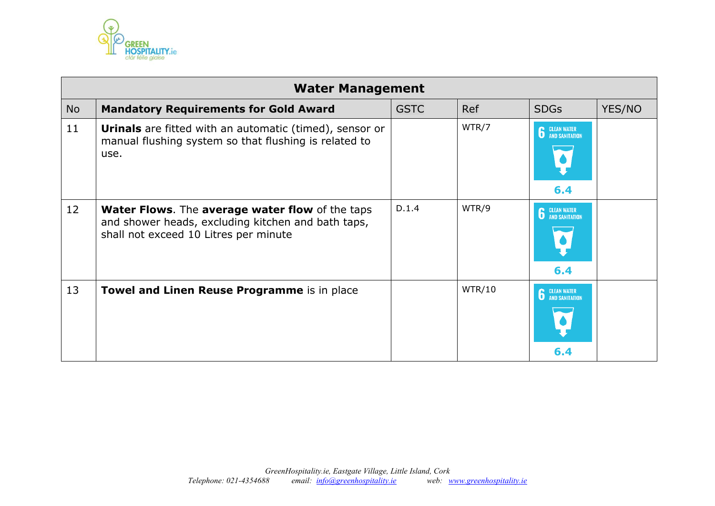

|           | <b>Water Management</b>                                                                                                                                      |             |        |                             |        |  |  |  |  |
|-----------|--------------------------------------------------------------------------------------------------------------------------------------------------------------|-------------|--------|-----------------------------|--------|--|--|--|--|
| <b>No</b> | <b>Mandatory Requirements for Gold Award</b>                                                                                                                 | <b>GSTC</b> | Ref    | <b>SDGs</b>                 | YES/NO |  |  |  |  |
| 11        | <b>Urinals</b> are fitted with an automatic (timed), sensor or<br>manual flushing system so that flushing is related to<br>use.                              |             | WTR/7  | <b>6</b> CLEAN WATER<br>6.4 |        |  |  |  |  |
| 12        | <b>Water Flows.</b> The <b>average water flow</b> of the taps<br>and shower heads, excluding kitchen and bath taps,<br>shall not exceed 10 Litres per minute | D.1.4       | WTR/9  | <b>6</b> CLEAN WATER<br>6.4 |        |  |  |  |  |
| 13        | <b>Towel and Linen Reuse Programme</b> is in place                                                                                                           |             | WTR/10 | <b>6</b> CLEAN WATER<br>6.4 |        |  |  |  |  |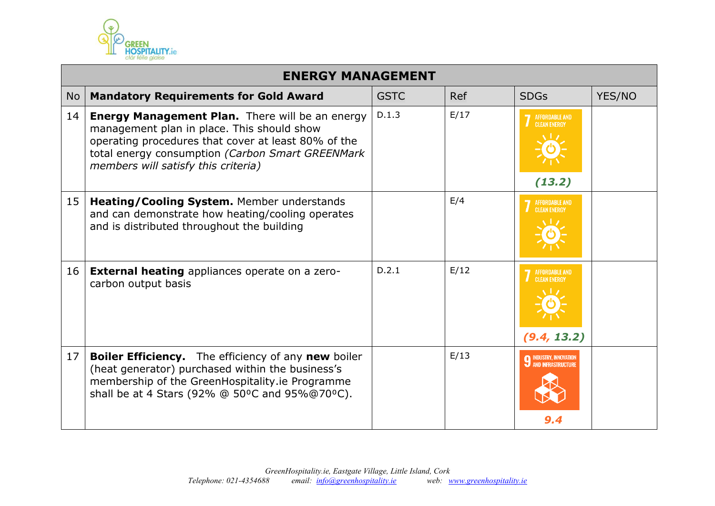

|           | <b>ENERGY MANAGEMENT</b>                                                                                                                                                                                                                               |             |      |                                                        |        |  |  |
|-----------|--------------------------------------------------------------------------------------------------------------------------------------------------------------------------------------------------------------------------------------------------------|-------------|------|--------------------------------------------------------|--------|--|--|
| <b>No</b> | <b>Mandatory Requirements for Gold Award</b>                                                                                                                                                                                                           | <b>GSTC</b> | Ref  | <b>SDGs</b>                                            | YES/NO |  |  |
| 14        | <b>Energy Management Plan.</b> There will be an energy<br>management plan in place. This should show<br>operating procedures that cover at least 80% of the<br>total energy consumption (Carbon Smart GREENMark<br>members will satisfy this criteria) | D.1.3       | E/17 | <b>AFFORDABLE AND</b><br><b>CLEAN ENERGY</b><br>(13.2) |        |  |  |
| 15        | Heating/Cooling System. Member understands<br>and can demonstrate how heating/cooling operates<br>and is distributed throughout the building                                                                                                           |             | E/4  | <b>AFFORDABLE AND</b><br><b>CLEAN ENERGY</b>           |        |  |  |
| 16        | <b>External heating</b> appliances operate on a zero-<br>carbon output basis                                                                                                                                                                           | D.2.1       | E/12 | AFFORDABLE AND<br><b>CLEAN ENERGY</b><br>(9.4, 13.2)   |        |  |  |
| 17        | <b>Boiler Efficiency.</b> The efficiency of any <b>new</b> boiler<br>(heat generator) purchased within the business's<br>membership of the GreenHospitality.ie Programme<br>shall be at 4 Stars (92% @ 50°C and 95%@70°C).                             |             | E/13 | <b>INDUSTRY, INNOVATIO</b><br>AND INFRASTRIJCTIJR      |        |  |  |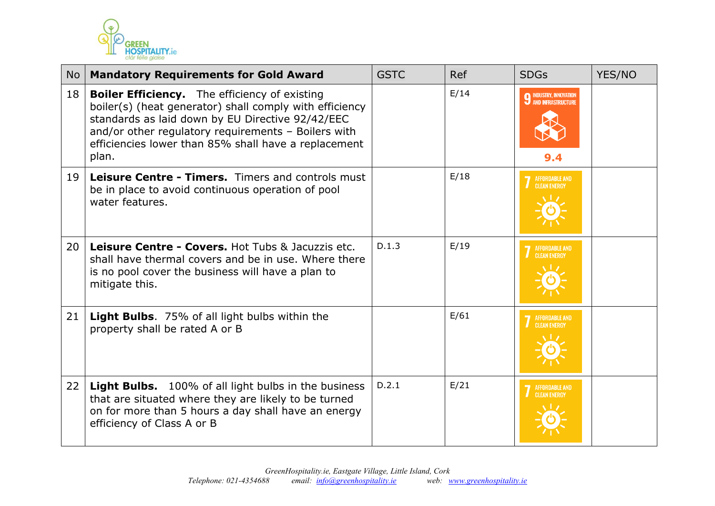

| No | <b>Mandatory Requirements for Gold Award</b>                                                                                                                                                                                                                                                | <b>GSTC</b> | Ref  | <b>SDGs</b>                                  | YES/NO |
|----|---------------------------------------------------------------------------------------------------------------------------------------------------------------------------------------------------------------------------------------------------------------------------------------------|-------------|------|----------------------------------------------|--------|
| 18 | <b>Boiler Efficiency.</b> The efficiency of existing<br>boiler(s) (heat generator) shall comply with efficiency<br>standards as laid down by EU Directive 92/42/EEC<br>and/or other regulatory requirements - Boilers with<br>efficiencies lower than 85% shall have a replacement<br>plan. |             | E/14 | <b>O</b> INDUSTRY, INNOVATION<br>9.4         |        |
| 19 | Leisure Centre - Timers. Timers and controls must<br>be in place to avoid continuous operation of pool<br>water features.                                                                                                                                                                   |             | E/18 | <b>AFFORDABLE AND</b><br><b>CLEAN ENERGY</b> |        |
| 20 | <b>Leisure Centre - Covers. Hot Tubs &amp; Jacuzzis etc.</b><br>shall have thermal covers and be in use. Where there<br>is no pool cover the business will have a plan to<br>mitigate this.                                                                                                 | D.1.3       | E/19 | <b>AFFORDABLE AND</b><br><b>CLEAN ENERGY</b> |        |
| 21 | <b>Light Bulbs.</b> 75% of all light bulbs within the<br>property shall be rated A or B                                                                                                                                                                                                     |             | E/61 | <b>CLEAN ENERGY</b>                          |        |
| 22 | Light Bulbs. 100% of all light bulbs in the business<br>that are situated where they are likely to be turned<br>on for more than 5 hours a day shall have an energy<br>efficiency of Class A or B                                                                                           | D.2.1       | E/21 | AFFORDABLE AND<br><b>CLEAN ENERGY</b>        |        |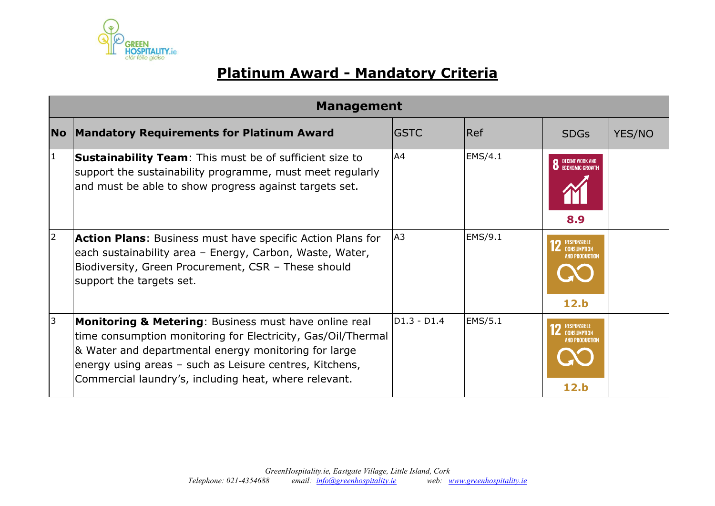

# **Platinum Award - Mandatory Criteria**

|           | <b>Management</b>                                                                                                                                                                                                                                                                                            |                |                |                                                                    |        |  |  |
|-----------|--------------------------------------------------------------------------------------------------------------------------------------------------------------------------------------------------------------------------------------------------------------------------------------------------------------|----------------|----------------|--------------------------------------------------------------------|--------|--|--|
| <b>No</b> | <b>Mandatory Requirements for Platinum Award</b>                                                                                                                                                                                                                                                             | <b>GSTC</b>    | Ref            | <b>SDGs</b>                                                        | YES/NO |  |  |
| $\vert$ 1 | <b>Sustainability Team:</b> This must be of sufficient size to<br>support the sustainability programme, must meet regularly<br>and must be able to show progress against targets set.                                                                                                                        | A4             | EMS/4.1        | DECENT WORK AND<br>Economic Growth<br>8.9                          |        |  |  |
| 2         | <b>Action Plans:</b> Business must have specific Action Plans for<br>each sustainability area - Energy, Carbon, Waste, Water,<br>Biodiversity, Green Procurement, CSR - These should<br>support the targets set.                                                                                             | A <sub>3</sub> | EMS/9.1        | RESPONSIBLE<br>Consumption<br>AND PRODUCTION<br>12.b               |        |  |  |
| 3         | <b>Monitoring &amp; Metering: Business must have online real</b><br>time consumption monitoring for Electricity, Gas/Oil/Thermal<br>& Water and departmental energy monitoring for large<br>energy using areas – such as Leisure centres, Kitchens,<br>Commercial laundry's, including heat, where relevant. | D1.3 - D1.4    | <b>EMS/5.1</b> | RESPONSIBLE<br><b>CONSUMPTION</b><br><b>AND PRODUCTION</b><br>12.b |        |  |  |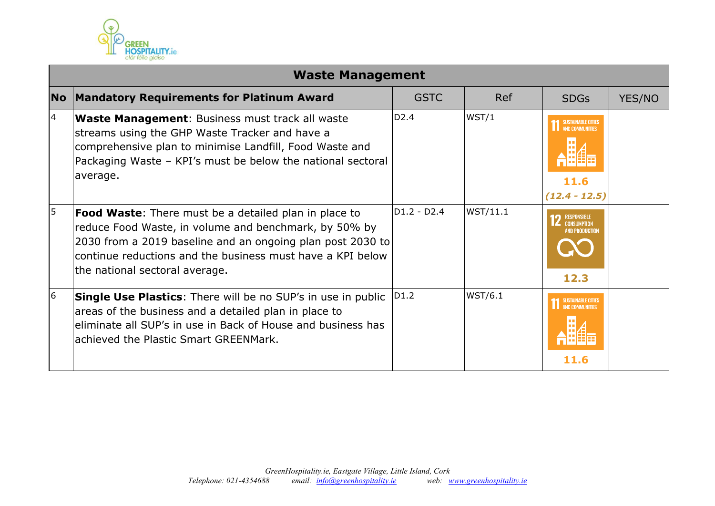

|           | <b>Waste Management</b>                                                                                                                                                                                                                                                             |                  |                |                                                                    |        |  |  |  |
|-----------|-------------------------------------------------------------------------------------------------------------------------------------------------------------------------------------------------------------------------------------------------------------------------------------|------------------|----------------|--------------------------------------------------------------------|--------|--|--|--|
| <b>No</b> | <b>Mandatory Requirements for Platinum Award</b>                                                                                                                                                                                                                                    | <b>GSTC</b>      | <b>Ref</b>     | <b>SDGs</b>                                                        | YES/NO |  |  |  |
| 4         | <b>Waste Management:</b> Business must track all waste<br>streams using the GHP Waste Tracker and have a<br>comprehensive plan to minimise Landfill, Food Waste and<br>Packaging Waste - KPI's must be below the national sectoral<br>average.                                      | D <sub>2.4</sub> | WST/1          | <b>1 SUSTAINABLE CITIES</b><br>11.6<br>$(12.4 - 12.5)$             |        |  |  |  |
| 5         | <b>Food Waste:</b> There must be a detailed plan in place to<br>reduce Food Waste, in volume and benchmark, by 50% by<br>2030 from a 2019 baseline and an ongoing plan post 2030 to<br>continue reductions and the business must have a KPI below<br>the national sectoral average. | D1.2 - D2.4      | WST/11.1       | <b>RESPONSIBLE</b><br><b>CONSUMPTION</b><br>AND PRODUCTION<br>12.3 |        |  |  |  |
| 6         | Single Use Plastics: There will be no SUP's in use in public<br>areas of the business and a detailed plan in place to<br>eliminate all SUP's in use in Back of House and business has<br>achieved the Plastic Smart GREENMark.                                                      | D <sub>1.2</sub> | <b>WST/6.1</b> | SUSTAINABLE CITIES<br>11.6                                         |        |  |  |  |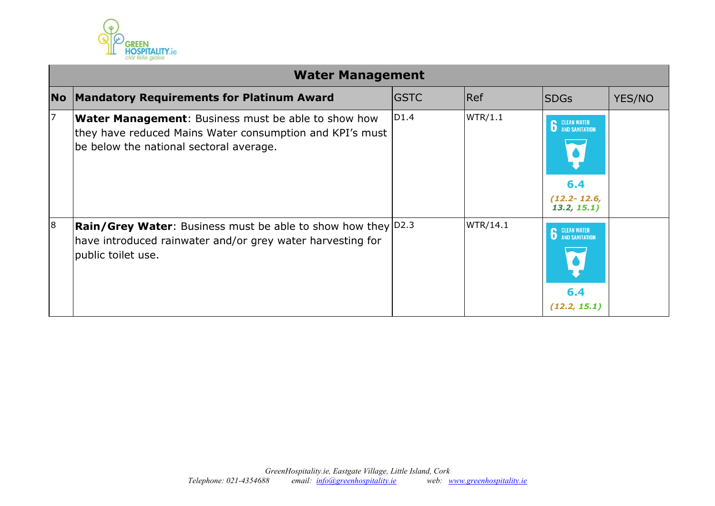

|                | <b>Water Management</b>                                                                                                                                           |             |          |                                                                                |        |  |  |
|----------------|-------------------------------------------------------------------------------------------------------------------------------------------------------------------|-------------|----------|--------------------------------------------------------------------------------|--------|--|--|
| <b>No</b>      | <b>Mandatory Requirements for Platinum Award</b>                                                                                                                  | <b>GSTC</b> | Ref      | <b>SDGs</b>                                                                    | YES/NO |  |  |
|                | <b>Water Management:</b> Business must be able to show how<br>they have reduced Mains Water consumption and KPI's must<br>be below the national sectoral average. | D1.4        | WTR/1.1  | <b>CLEAN WATER<br/>AND SANITATION</b><br>6.4<br>$(12.2 - 12.6,$<br>13.2, 15.1) |        |  |  |
| $\overline{8}$ | <b>Rain/Grey Water:</b> Business must be able to show how they $ D2.3 $<br>have introduced rainwater and/or grey water harvesting for<br>public toilet use.       |             | WTR/14.1 | <b>6</b> CLEAN WATER<br>6.4<br>(12.2, 15.1)                                    |        |  |  |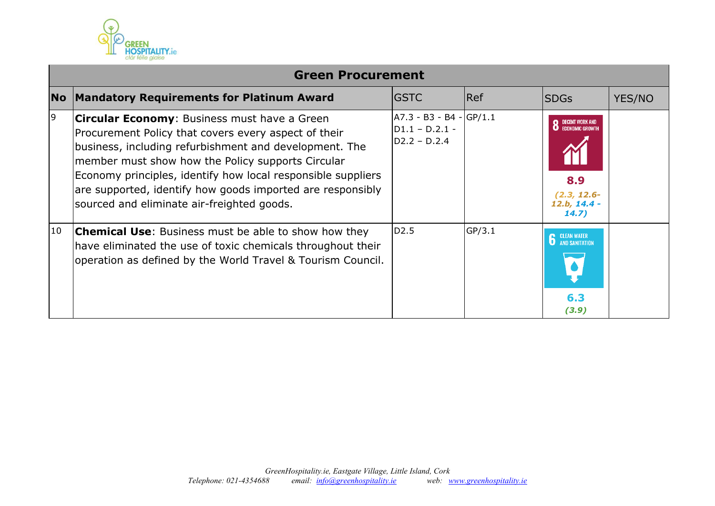

|           | <b>Green Procurement</b>                                                                                                                                                                                                                                                                                                                                                                        |                                                                 |        |                                                                                        |        |  |  |  |
|-----------|-------------------------------------------------------------------------------------------------------------------------------------------------------------------------------------------------------------------------------------------------------------------------------------------------------------------------------------------------------------------------------------------------|-----------------------------------------------------------------|--------|----------------------------------------------------------------------------------------|--------|--|--|--|
| <b>No</b> | <b>Mandatory Requirements for Platinum Award</b>                                                                                                                                                                                                                                                                                                                                                | <b>GSTC</b>                                                     | Ref    | <b>SDGs</b>                                                                            | YES/NO |  |  |  |
| 9         | Circular Economy: Business must have a Green<br>Procurement Policy that covers every aspect of their<br>business, including refurbishment and development. The<br>member must show how the Policy supports Circular<br>Economy principles, identify how local responsible suppliers<br>are supported, identify how goods imported are responsibly<br>sourced and eliminate air-freighted goods. | $A7.3 - B3 - B4 - GP/1.1$<br>$D1.1 - D.2.1 -$<br>$D2.2 - D.2.4$ |        | DECENT WORK AND<br>ECONOMIC GROWTH<br>8.9<br>$(2.3, 12.6 -$<br>$12.b, 14.4 -$<br>14.7) |        |  |  |  |
| 10        | <b>Chemical Use:</b> Business must be able to show how they<br>have eliminated the use of toxic chemicals throughout their<br>operation as defined by the World Travel & Tourism Council.                                                                                                                                                                                                       | D <sub>2.5</sub>                                                | GP/3.1 | <b>6</b> CLEAN WATER<br>6.3<br>(3.9)                                                   |        |  |  |  |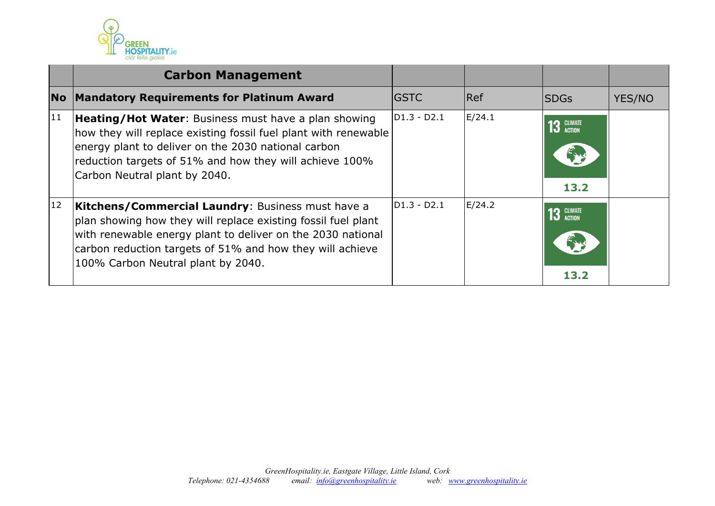

|    | <b>Carbon Management</b>                                                                                                                                                                                                                                                             |              |        |                      |        |
|----|--------------------------------------------------------------------------------------------------------------------------------------------------------------------------------------------------------------------------------------------------------------------------------------|--------------|--------|----------------------|--------|
|    | No Mandatory Requirements for Platinum Award                                                                                                                                                                                                                                         | <b>IGSTC</b> | Ref    | <b>ISDGs</b>         | YES/NO |
| 11 | <b>Heating/Hot Water:</b> Business must have a plan showing<br>how they will replace existing fossil fuel plant with renewable<br>energy plant to deliver on the 2030 national carbon<br>reduction targets of 51% and how they will achieve 100%<br>Carbon Neutral plant by 2040.    | D1.3 - D2.1  | E/24.1 | $3$ CLIMATE<br>13.2  |        |
| 12 | Kitchens/Commercial Laundry: Business must have a<br>plan showing how they will replace existing fossil fuel plant<br>with renewable energy plant to deliver on the 2030 national<br>carbon reduction targets of 51% and how they will achieve<br>100% Carbon Neutral plant by 2040. | D1.3 - D2.1  | E/24.2 | $13$ GLIMATE<br>13.2 |        |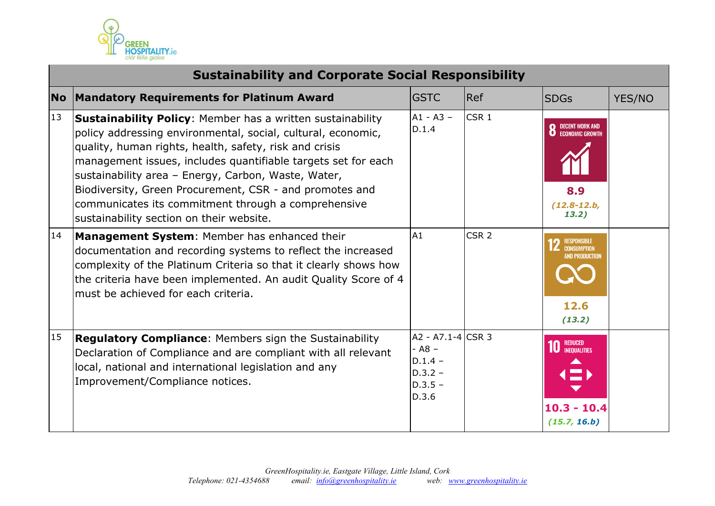

|           | <b>Sustainability and Corporate Social Responsibility</b>                                                                                                                                                                                                                                                                                                                                                                                                                         |                                                                               |                  |                                                                                       |        |  |  |
|-----------|-----------------------------------------------------------------------------------------------------------------------------------------------------------------------------------------------------------------------------------------------------------------------------------------------------------------------------------------------------------------------------------------------------------------------------------------------------------------------------------|-------------------------------------------------------------------------------|------------------|---------------------------------------------------------------------------------------|--------|--|--|
| <b>No</b> | <b>Mandatory Requirements for Platinum Award</b>                                                                                                                                                                                                                                                                                                                                                                                                                                  | <b>GSTC</b>                                                                   | <b>Ref</b>       | <b>SDGs</b>                                                                           | YES/NO |  |  |
| 13        | <b>Sustainability Policy:</b> Member has a written sustainability<br>policy addressing environmental, social, cultural, economic,<br>quality, human rights, health, safety, risk and crisis<br>management issues, includes quantifiable targets set for each<br>sustainability area - Energy, Carbon, Waste, Water,<br>Biodiversity, Green Procurement, CSR - and promotes and<br>communicates its commitment through a comprehensive<br>sustainability section on their website. | $A1 - A3 -$<br>D.1.4                                                          | CSR <sub>1</sub> | <b>8</b> DECENT WORK AND<br>8.9<br>$(12.8 - 12.b,$<br>13.2)                           |        |  |  |
| 14        | Management System: Member has enhanced their<br>documentation and recording systems to reflect the increased<br>complexity of the Platinum Criteria so that it clearly shows how<br>the criteria have been implemented. An audit Quality Score of 4<br>must be achieved for each criteria.                                                                                                                                                                                        | A1                                                                            | CSR <sub>2</sub> | <b>RESPONSIBLE</b><br><b>Z</b> CONSUMPTION<br><b>AND PRODUCTION</b><br>12.6<br>(13.2) |        |  |  |
| 15        | <b>Regulatory Compliance:</b> Members sign the Sustainability<br>Declaration of Compliance and are compliant with all relevant<br>local, national and international legislation and any<br>Improvement/Compliance notices.                                                                                                                                                                                                                                                        | A2 - A7.1-4 CSR 3<br>$- A8 -$<br>$D.1.4 -$<br>$D.3.2 -$<br>$D.3.5 -$<br>D.3.6 |                  | <b>10</b> REDUCED<br>$10.3 - 10.4$<br>(15.7, 16.b)                                    |        |  |  |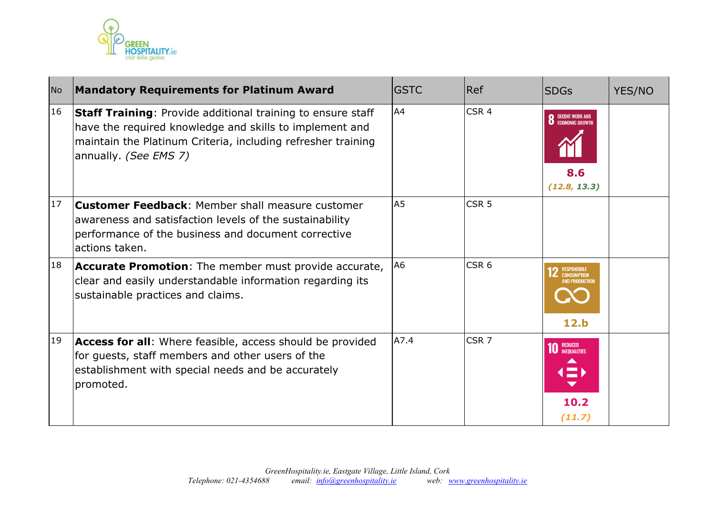

| <b>No</b> | <b>Mandatory Requirements for Platinum Award</b>                                                                                                                                                                       | <b>GSTC</b>    | <b>Ref</b>       | <b>SDGs</b>                                                     | YES/NO |
|-----------|------------------------------------------------------------------------------------------------------------------------------------------------------------------------------------------------------------------------|----------------|------------------|-----------------------------------------------------------------|--------|
| 16        | <b>Staff Training: Provide additional training to ensure staff</b><br>have the required knowledge and skills to implement and<br>maintain the Platinum Criteria, including refresher training<br>annually. (See EMS 7) | A4             | CSR <sub>4</sub> | <b>8</b> DECENT WORK AND ECONOMIC GROWTH<br>8.6<br>(12.8, 13.3) |        |
| 17        | <b>Customer Feedback:</b> Member shall measure customer<br>awareness and satisfaction levels of the sustainability<br>performance of the business and document corrective<br>actions taken.                            | A <sub>5</sub> | CSR <sub>5</sub> |                                                                 |        |
| 18        | <b>Accurate Promotion:</b> The member must provide accurate,<br>clear and easily understandable information regarding its<br>sustainable practices and claims.                                                         | A <sub>6</sub> | CSR <sub>6</sub> | <b>RESPONSIBLI</b><br>12.b                                      |        |
| 19        | Access for all: Where feasible, access should be provided<br>for guests, staff members and other users of the<br>establishment with special needs and be accurately<br>promoted.                                       | A7.4           | CSR <sub>7</sub> | <b>10 REDUCED</b><br>10.2<br>(11.7)                             |        |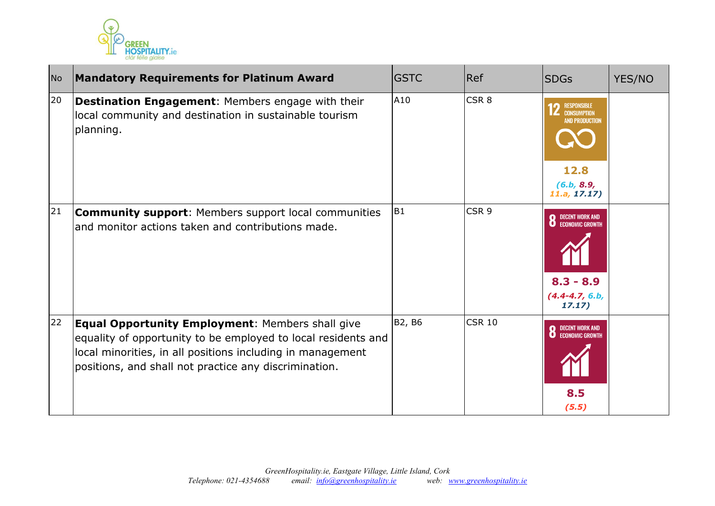

| <b>No</b> | <b>Mandatory Requirements for Platinum Award</b>                                                                                                                                                                                                | <b>GSTC</b>    | Ref              | <b>SDGs</b>                                                                                      | YES/NO |
|-----------|-------------------------------------------------------------------------------------------------------------------------------------------------------------------------------------------------------------------------------------------------|----------------|------------------|--------------------------------------------------------------------------------------------------|--------|
| 20        | Destination Engagement: Members engage with their<br>local community and destination in sustainable tourism<br>planning.                                                                                                                        | A10            | CSR <sub>8</sub> | <b>RESPONSIBLE</b><br><b>CONSUMPTION</b><br>AND PRODUCTION<br>12.8<br>(6.b, 8.9,<br>11.a, 17.17) |        |
| 21        | <b>Community support:</b> Members support local communities<br>and monitor actions taken and contributions made.                                                                                                                                | B <sub>1</sub> | CSR <sub>9</sub> | <b>8</b> DECENT WORK AND ECONOMIC GROWTH<br>$8.3 - 8.9$<br>$(4.4 - 4.7, 6.b,$<br>17.17)          |        |
| 22        | <b>Equal Opportunity Employment: Members shall give</b><br>equality of opportunity to be employed to local residents and<br>local minorities, in all positions including in management<br>positions, and shall not practice any discrimination. | B2, B6         | <b>CSR 10</b>    | <b>8</b> DECENT WORK AND ECONOMIC GROWTH<br>8.5<br>(5.5)                                         |        |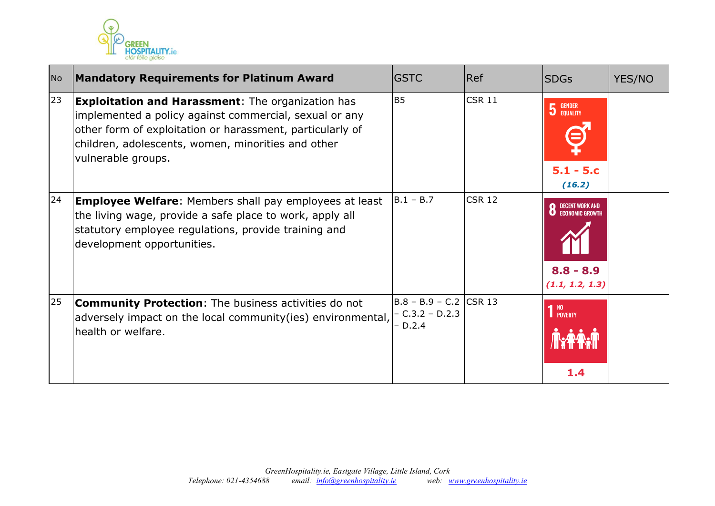

| <b>No</b> | <b>Mandatory Requirements for Platinum Award</b>                                                                                                                                                                                                            | <b>GSTC</b>                                               | Ref           | <b>SDGs</b>                                              | <b>YES/NO</b> |
|-----------|-------------------------------------------------------------------------------------------------------------------------------------------------------------------------------------------------------------------------------------------------------------|-----------------------------------------------------------|---------------|----------------------------------------------------------|---------------|
| 23        | <b>Exploitation and Harassment:</b> The organization has<br>implemented a policy against commercial, sexual or any<br>other form of exploitation or harassment, particularly of<br>children, adolescents, women, minorities and other<br>vulnerable groups. | <b>B5</b>                                                 | CSR 11        | <b>5</b> GENDER<br>$5.1 - 5.c$<br>(16.2)                 |               |
| 24        | <b>Employee Welfare:</b> Members shall pay employees at least<br>the living wage, provide a safe place to work, apply all<br>statutory employee regulations, provide training and<br>development opportunities.                                             | $B.1 - B.7$                                               | <b>CSR 12</b> | <b>DECENT WORK AND</b><br>$8.8 - 8.9$<br>(1.1, 1.2, 1.3) |               |
| 25        | <b>Community Protection:</b> The business activities do not<br>adversely impact on the local community(ies) environmental,<br>health or welfare.                                                                                                            | $B.8 - B.9 - C.2$ CSR 13<br>$- C.3.2 - D.2.3$<br>$-D.2.4$ |               | 1 <sup>NO</sup><br>1 POVERTY<br>1.4                      |               |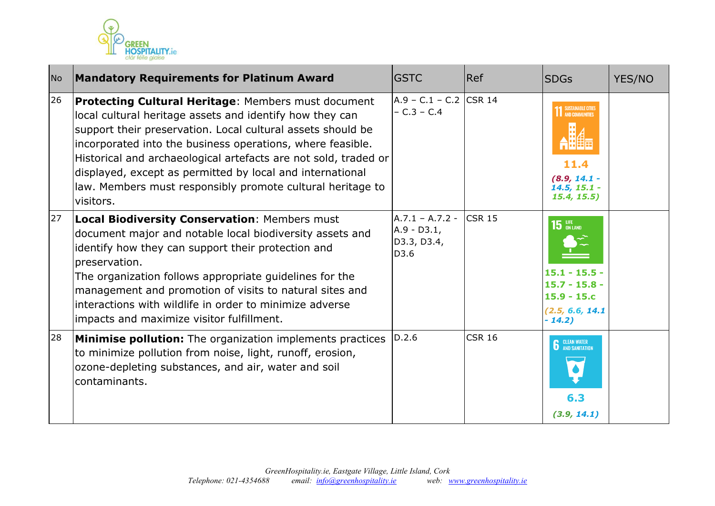

| <b>No</b> | <b>Mandatory Requirements for Platinum Award</b>                                                                                                                                                                                                                                                                                                                                                                                                        | <b>GSTC</b>                                               | Ref           | <b>SDGs</b>                                                                                         | YES/NO |
|-----------|---------------------------------------------------------------------------------------------------------------------------------------------------------------------------------------------------------------------------------------------------------------------------------------------------------------------------------------------------------------------------------------------------------------------------------------------------------|-----------------------------------------------------------|---------------|-----------------------------------------------------------------------------------------------------|--------|
| 26        | Protecting Cultural Heritage: Members must document<br>local cultural heritage assets and identify how they can<br>support their preservation. Local cultural assets should be<br>incorporated into the business operations, where feasible.<br>Historical and archaeological artefacts are not sold, traded or<br>displayed, except as permitted by local and international<br>law. Members must responsibly promote cultural heritage to<br>visitors. | $A.9 - C.1 - C.2$ CSR 14<br>$- C.3 - C.4$                 |               | SUSTAINABLE CITIES<br>11.4<br>$(8.9, 14.1 -$<br>$14.5, 15.1 -$<br>15.4, 15.5)                       |        |
| 27        | <b>Local Biodiversity Conservation: Members must</b><br>document major and notable local biodiversity assets and<br>identify how they can support their protection and<br>preservation.<br>The organization follows appropriate guidelines for the<br>management and promotion of visits to natural sites and<br>linteractions with wildlife in order to minimize adverse<br>impacts and maximize visitor fulfillment.                                  | $A.7.1 - A.7.2 -$<br>$A.9 - D3.1,$<br>D3.3, D3.4,<br>D3.6 | <b>CSR 15</b> | $15$ an land<br>$15.1 - 15.5 -$<br>$15.7 - 15.8 -$<br>$15.9 - 15.c$<br>(2.5, 6.6, 14.1)<br>$-14.2)$ |        |
| 28        | <b>Minimise pollution:</b> The organization implements practices<br>to minimize pollution from noise, light, runoff, erosion,<br>ozone-depleting substances, and air, water and soil<br>contaminants.                                                                                                                                                                                                                                                   | D.2.6                                                     | <b>CSR 16</b> | <b>6</b> CLEAN WATER<br>6.3<br>(3.9, 14.1)                                                          |        |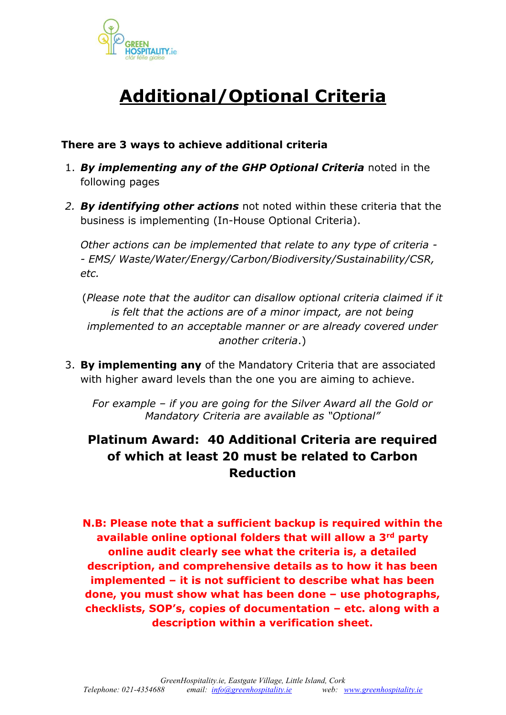

# **Additional/Optional Criteria**

### **There are 3 ways to achieve additional criteria**

- 1. *By implementing any of the GHP Optional Criteria* noted in the following pages
- *2. By identifying other actions* not noted within these criteria that the business is implementing (In-House Optional Criteria).

*Other actions can be implemented that relate to any type of criteria - - EMS/ Waste/Water/Energy/Carbon/Biodiversity/Sustainability/CSR, etc.* 

(*Please note that the auditor can disallow optional criteria claimed if it is felt that the actions are of a minor impact, are not being implemented to an acceptable manner or are already covered under another criteria*.)

3. **By implementing any** of the Mandatory Criteria that are associated with higher award levels than the one you are aiming to achieve.

*For example – if you are going for the Silver Award all the Gold or Mandatory Criteria are available as "Optional"*

# **Platinum Award: 40 Additional Criteria are required of which at least 20 must be related to Carbon Reduction**

**N.B: Please note that a sufficient backup is required within the available online optional folders that will allow a 3rd party online audit clearly see what the criteria is, a detailed description, and comprehensive details as to how it has been implemented – it is not sufficient to describe what has been done, you must show what has been done – use photographs, checklists, SOP's, copies of documentation – etc. along with a description within a verification sheet.**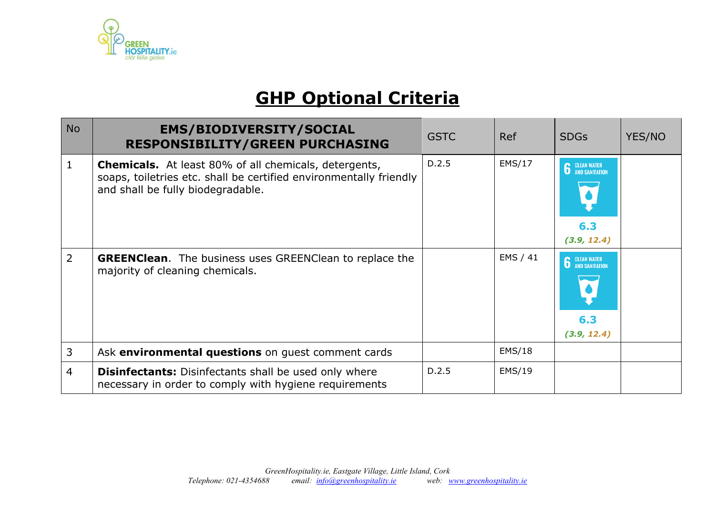

# **GHP Optional Criteria**

| <b>No</b>      | <b>EMS/BIODIVERSITY/SOCIAL</b><br><b>RESPONSIBILITY/GREEN PURCHASING</b>                                                                                                | <b>GSTC</b> | <b>Ref</b>    | <b>SDGs</b>                                | YES/NO |
|----------------|-------------------------------------------------------------------------------------------------------------------------------------------------------------------------|-------------|---------------|--------------------------------------------|--------|
| $\mathbf{1}$   | <b>Chemicals.</b> At least 80% of all chemicals, detergents,<br>soaps, toiletries etc. shall be certified environmentally friendly<br>and shall be fully biodegradable. | D.2.5       | EMS/17        | <b>6</b> CLEAN WATER<br>6.3<br>(3.9, 12.4) |        |
| $\overline{2}$ | <b>GREENClean.</b> The business uses GREENClean to replace the<br>majority of cleaning chemicals.                                                                       |             | EMS / 41      | <b>6</b> CLEAN WATER<br>6.3<br>(3.9, 12.4) |        |
| 3              | Ask environmental questions on guest comment cards                                                                                                                      |             | EMS/18        |                                            |        |
| 4              | <b>Disinfectants:</b> Disinfectants shall be used only where<br>necessary in order to comply with hygiene requirements                                                  | D.2.5       | <b>EMS/19</b> |                                            |        |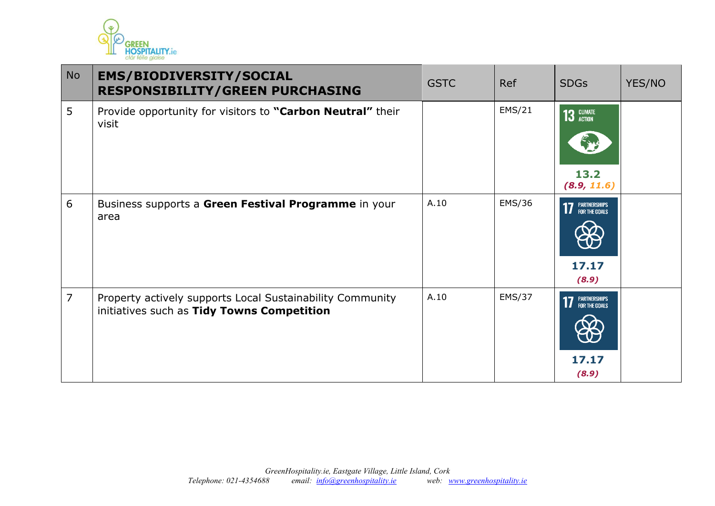

| <b>No</b>      | <b>EMS/BIODIVERSITY/SOCIAL</b><br><b>RESPONSIBILITY/GREEN PURCHASING</b>                                | <b>GSTC</b> | <b>Ref</b>    | <b>SDGs</b>                              | YES/NO |
|----------------|---------------------------------------------------------------------------------------------------------|-------------|---------------|------------------------------------------|--------|
| 5              | Provide opportunity for visitors to "Carbon Neutral" their<br>visit                                     |             | EMS/21        | 13 GLIMATE<br>13.2<br>(8.9, 11.6)        |        |
| 6              | Business supports a Green Festival Programme in your<br>area                                            | A.10        | EMS/36        | <b>17 PARTNERSHIPS</b><br>17.17<br>(8.9) |        |
| $\overline{7}$ | Property actively supports Local Sustainability Community<br>initiatives such as Tidy Towns Competition | A.10        | <b>EMS/37</b> | <b>17</b> PARTNERSHIPS<br>17.17<br>(8.9) |        |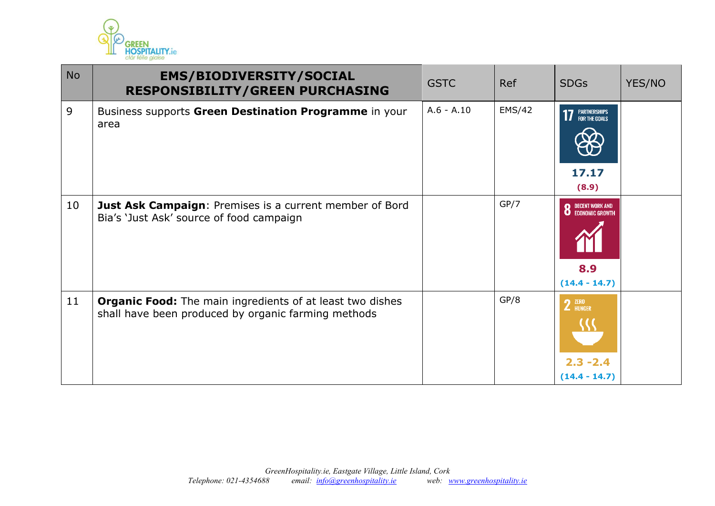

| <b>No</b> | <b>EMS/BIODIVERSITY/SOCIAL</b><br><b>RESPONSIBILITY/GREEN PURCHASING</b>                                                | <b>GSTC</b>  | Ref    | <b>SDGs</b>                                                        | YES/NO |
|-----------|-------------------------------------------------------------------------------------------------------------------------|--------------|--------|--------------------------------------------------------------------|--------|
| 9         | Business supports Green Destination Programme in your<br>area                                                           | $A.6 - A.10$ | EMS/42 | <b>17 PARTNERSHIPS</b><br>17.17<br>(8.9)                           |        |
| 10        | <b>Just Ask Campaign: Premises is a current member of Bord</b><br>Bia's 'Just Ask' source of food campaign              |              | GP/7   | <b>8</b> DECENT WORK AND ECONOMIC GROWTH<br>8.9<br>$(14.4 - 14.7)$ |        |
| 11        | <b>Organic Food:</b> The main ingredients of at least two dishes<br>shall have been produced by organic farming methods |              | GP/8   | $2$ $^{ZERO}$<br>$2.3 - 2.4$<br>$(14.4 - 14.7)$                    |        |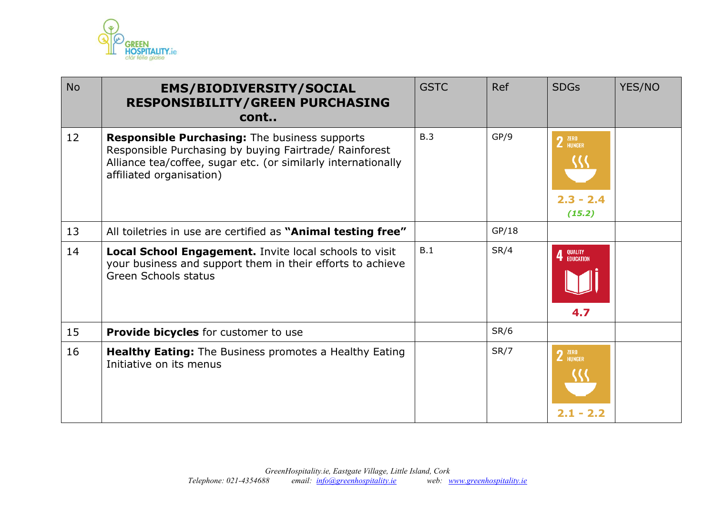

| <b>No</b> | <b>EMS/BIODIVERSITY/SOCIAL</b><br><b>RESPONSIBILITY/GREEN PURCHASING</b><br>cont                                                                                                                            | <b>GSTC</b> | <b>Ref</b> | <b>SDGs</b>                     | YES/NO |
|-----------|-------------------------------------------------------------------------------------------------------------------------------------------------------------------------------------------------------------|-------------|------------|---------------------------------|--------|
| 12        | <b>Responsible Purchasing:</b> The business supports<br>Responsible Purchasing by buying Fairtrade/ Rainforest<br>Alliance tea/coffee, sugar etc. (or similarly internationally<br>affiliated organisation) | B.3         | GP/9       | 2 ZERO<br>$2.3 - 2.4$<br>(15.2) |        |
| 13        | All toiletries in use are certified as "Animal testing free"                                                                                                                                                |             | GP/18      |                                 |        |
| 14        | Local School Engagement. Invite local schools to visit<br>your business and support them in their efforts to achieve<br><b>Green Schools status</b>                                                         | B.1         | SR/4       | QUALITY<br>Education<br>4.7     |        |
| 15        | <b>Provide bicycles</b> for customer to use                                                                                                                                                                 |             | SR/6       |                                 |        |
| 16        | <b>Healthy Eating:</b> The Business promotes a Healthy Eating<br>Initiative on its menus                                                                                                                    |             | SR/7       | $2$ $^{ZERO}$<br>$2.1 - 2.2$    |        |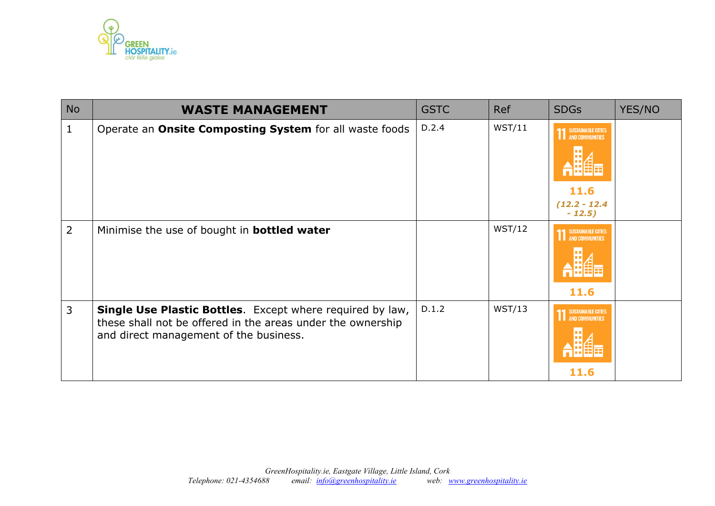

| <b>No</b> | <b>WASTE MANAGEMENT</b>                                                                                                                                            | <b>GSTC</b> | <b>Ref</b> | <b>SDGs</b>                                                              | YES/NO |
|-----------|--------------------------------------------------------------------------------------------------------------------------------------------------------------------|-------------|------------|--------------------------------------------------------------------------|--------|
| 1         | Operate an Onsite Composting System for all waste foods                                                                                                            | D.2.4       | WST/11     | <b>11 SUSTAINABLE CITTES</b><br>H<br>11.6<br>$(12.2 - 12.4)$<br>$-12.5)$ |        |
| 2         | Minimise the use of bought in <b>bottled water</b>                                                                                                                 |             | WST/12     | <b>SUSTAINABLE CITIES</b><br>AND COMMUNITIES<br>H<br>11.6                |        |
| 3         | Single Use Plastic Bottles. Except where required by law,<br>these shall not be offered in the areas under the ownership<br>and direct management of the business. | D.1.2       | WST/13     | SUSTAINABLE CITIES<br>AND COMMUNITIES<br>11.6                            |        |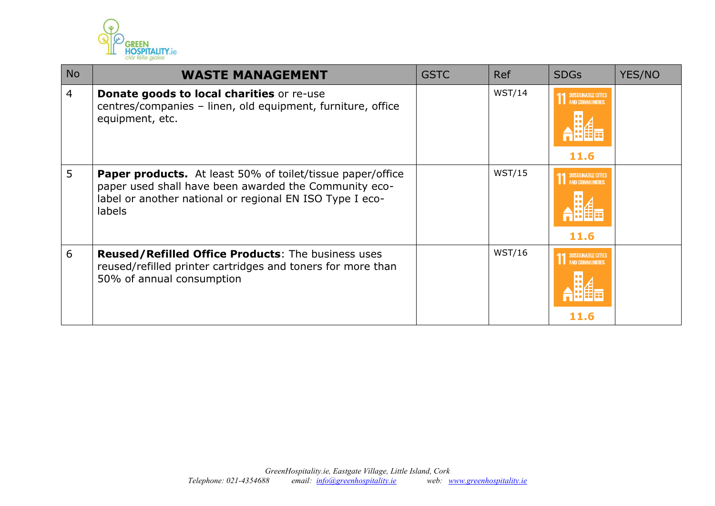

| <b>No</b>      | <b>WASTE MANAGEMENT</b>                                                                                                                                                                                 | <b>GSTC</b> | Ref    | <b>SDGs</b>                                                 | YES/NO |
|----------------|---------------------------------------------------------------------------------------------------------------------------------------------------------------------------------------------------------|-------------|--------|-------------------------------------------------------------|--------|
| $\overline{4}$ | Donate goods to local charities or re-use<br>centres/companies - linen, old equipment, furniture, office<br>equipment, etc.                                                                             |             | WST/14 | <b>SUSTAINABLE CITIES</b><br><b>AND COMMUNITIES</b><br>11.6 |        |
| 5              | <b>Paper products.</b> At least 50% of toilet/tissue paper/office<br>paper used shall have been awarded the Community eco-<br>label or another national or regional EN ISO Type I eco-<br><b>labels</b> |             | WST/15 | <b>SUSTAINABLE CITIES</b><br>AND COMMUNITIES<br>11.6        |        |
| 6              | Reused/Refilled Office Products: The business uses<br>reused/refilled printer cartridges and toners for more than<br>50% of annual consumption                                                          |             | WST/16 | <b>SUSTAINABLE CITIES</b><br>AND COMMUNITIES<br>11.6        |        |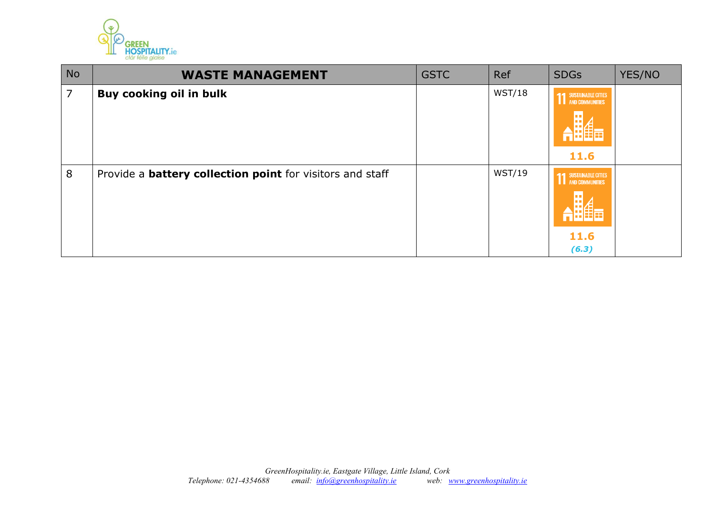

| <b>No</b> | <b>WASTE MANAGEMENT</b>                                          | <b>GSTC</b> | Ref    | <b>SDGs</b>                                                            | YES/NO |
|-----------|------------------------------------------------------------------|-------------|--------|------------------------------------------------------------------------|--------|
| 7         | <b>Buy cooking oil in bulk</b>                                   |             | WST/18 | <b>11 SUSTAINABLE CITTES</b><br>11.6                                   |        |
| 8         | Provide a <b>battery collection point</b> for visitors and staff |             | WST/19 | <b>SUSTAINABLE CITIES</b><br><b>I</b> AND COMMUNITIES<br>11.6<br>(6.3) |        |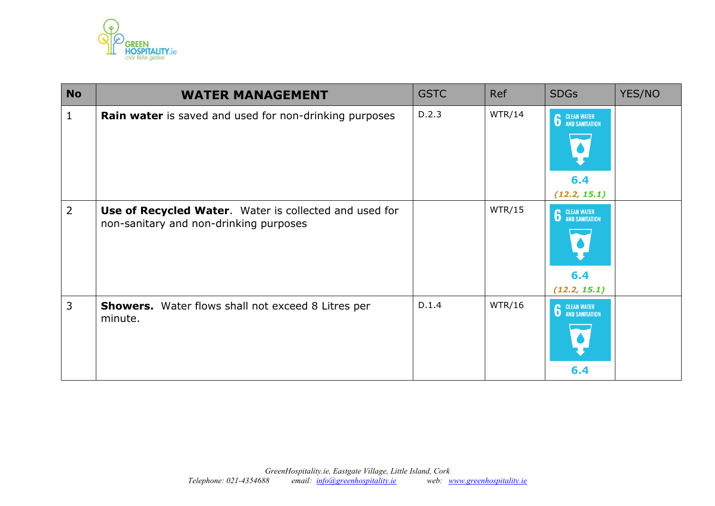

| <b>No</b>      | <b>WATER MANAGEMENT</b>                                                                          | <b>GSTC</b> | <b>Ref</b> | <b>SDGs</b>                                 | YES/NO |
|----------------|--------------------------------------------------------------------------------------------------|-------------|------------|---------------------------------------------|--------|
| 1              | Rain water is saved and used for non-drinking purposes                                           | D.2.3       | WTR/14     | <b>6</b> CLEAN WATER<br>6.4<br>(12.2, 15.1) |        |
| $\overline{2}$ | Use of Recycled Water. Water is collected and used for<br>non-sanitary and non-drinking purposes |             | WTR/15     | <b>6</b> CLEAN WATER<br>6.4<br>(12.2, 15.1) |        |
| 3              | <b>Showers.</b> Water flows shall not exceed 8 Litres per<br>minute.                             | D.1.4       | WTR/16     | <b>6</b> CLEAN WATER<br>6.4                 |        |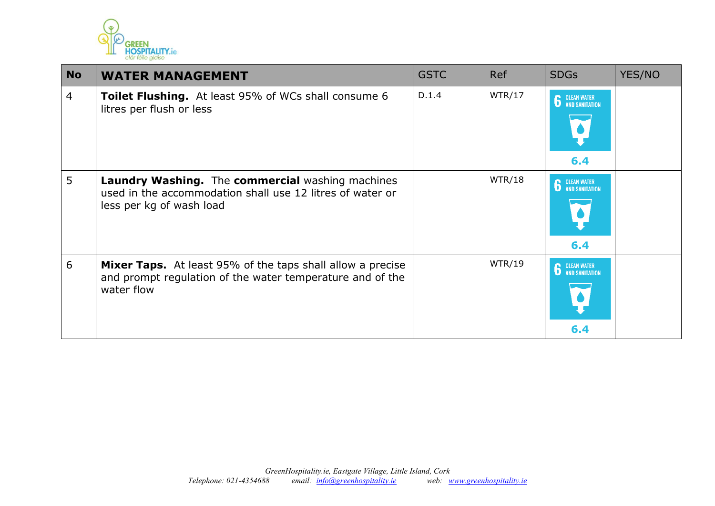

| <b>No</b>      | <b>WATER MANAGEMENT</b>                                                                                                                      | <b>GSTC</b> | <b>Ref</b> | <b>SDGs</b>                 | YES/NO |
|----------------|----------------------------------------------------------------------------------------------------------------------------------------------|-------------|------------|-----------------------------|--------|
| $\overline{4}$ | <b>Toilet Flushing.</b> At least 95% of WCs shall consume 6<br>litres per flush or less                                                      | D.1.4       | WTR/17     | <b>6</b> CLEAN WATER<br>6.4 |        |
| 5              | Laundry Washing. The commercial washing machines<br>used in the accommodation shall use 12 litres of water or<br>less per kg of wash load    |             | WTR/18     | <b>6</b> CLEAN WATER<br>6.4 |        |
| 6              | <b>Mixer Taps.</b> At least 95% of the taps shall allow a precise<br>and prompt regulation of the water temperature and of the<br>water flow |             | WTR/19     | <b>6</b> CLEAN WATER<br>6.4 |        |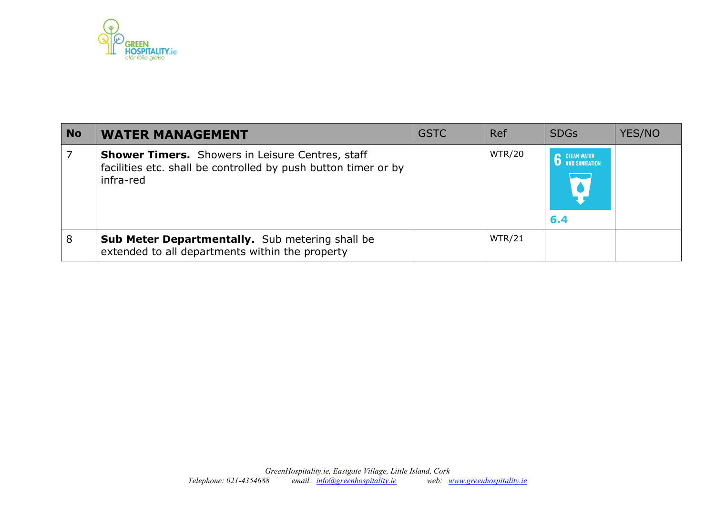

| <b>No</b> | <b>WATER MANAGEMENT</b>                                                                                                                | <b>GSTC</b> | Ref           | <b>SDGs</b>                                        | YES/NO |
|-----------|----------------------------------------------------------------------------------------------------------------------------------------|-------------|---------------|----------------------------------------------------|--------|
|           | <b>Shower Timers.</b> Showers in Leisure Centres, staff<br>facilities etc. shall be controlled by push button timer or by<br>infra-red |             | <b>WTR/20</b> | <b>CLEAN WATER</b><br><b>AND SANITATION</b><br>6.4 |        |
| 8         | <b>Sub Meter Departmentally.</b> Sub metering shall be<br>extended to all departments within the property                              |             | WTR/21        |                                                    |        |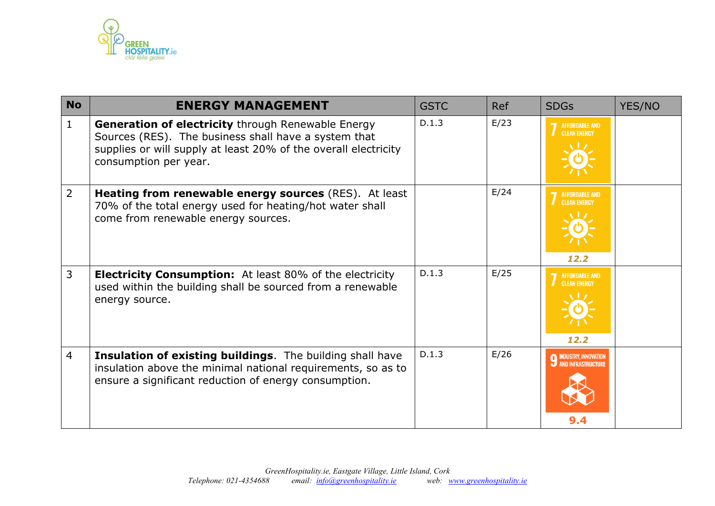

| <b>No</b>      | <b>ENERGY MANAGEMENT</b>                                                                                                                                                                                      | <b>GSTC</b> | <b>Ref</b> | <b>SDGs</b>                                          | YES/NO |
|----------------|---------------------------------------------------------------------------------------------------------------------------------------------------------------------------------------------------------------|-------------|------------|------------------------------------------------------|--------|
| $\mathbf{1}$   | <b>Generation of electricity through Renewable Energy</b><br>Sources (RES). The business shall have a system that<br>supplies or will supply at least 20% of the overall electricity<br>consumption per year. | D.1.3       | E/23       | <b>AFFORDABLE AND</b><br><b>CLEAN ENERGY</b>         |        |
| 2              | Heating from renewable energy sources (RES). At least<br>70% of the total energy used for heating/hot water shall<br>come from renewable energy sources.                                                      |             | E/24       | <b>AFFORDABLE AND</b><br><b>CLEAN ENERGY</b><br>12.2 |        |
| 3              | <b>Electricity Consumption:</b> At least 80% of the electricity<br>used within the building shall be sourced from a renewable<br>energy source.                                                               | D.1.3       | E/25       | <b>AFFORDABLE AND</b><br><b>CLEAN ENERGY</b><br>12.2 |        |
| $\overline{4}$ | Insulation of existing buildings. The building shall have<br>insulation above the minimal national requirements, so as to<br>ensure a significant reduction of energy consumption.                            | D.1.3       | E/26       | <b>INDUSTRY, INNOVATION</b><br>AND INFRASTRUCTURE    |        |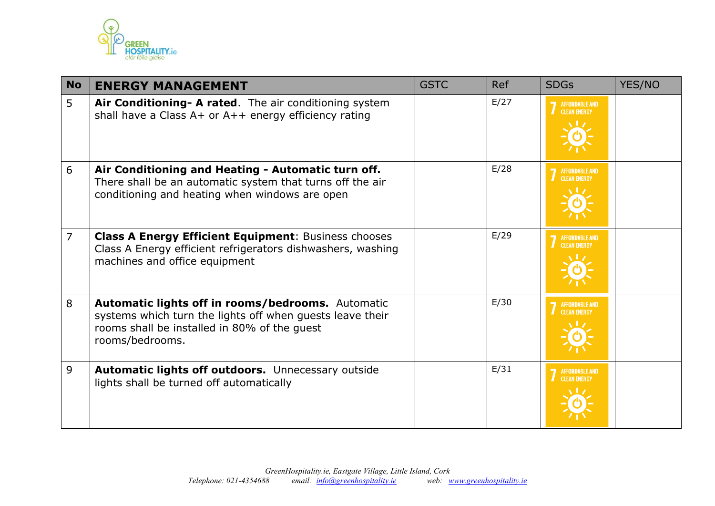

| <b>No</b>      | <b>ENERGY MANAGEMENT</b>                                                                                                                                                          | <b>GSTC</b> | <b>Ref</b> | <b>SDGs</b>                                  | YES/NO |
|----------------|-----------------------------------------------------------------------------------------------------------------------------------------------------------------------------------|-------------|------------|----------------------------------------------|--------|
| 5              | Air Conditioning - A rated. The air conditioning system<br>shall have a Class A+ or A++ energy efficiency rating                                                                  |             | E/27       | AFFORDABLE AND<br>CLEAN ENERGY               |        |
| 6              | Air Conditioning and Heating - Automatic turn off.<br>There shall be an automatic system that turns off the air<br>conditioning and heating when windows are open                 |             | E/28       | AFFORDABLE AND<br>CLEAN ENERGY               |        |
| $\overline{7}$ | <b>Class A Energy Efficient Equipment: Business chooses</b><br>Class A Energy efficient refrigerators dishwashers, washing<br>machines and office equipment                       |             | E/29       | AFFORDABLE AND<br>CLEAN ENERGY               |        |
| 8              | Automatic lights off in rooms/bedrooms. Automatic<br>systems which turn the lights off when guests leave their<br>rooms shall be installed in 80% of the quest<br>rooms/bedrooms. |             | E/30       | AFFORDABLE AND<br><b>CLEAN ENERGY</b>        |        |
| 9              | Automatic lights off outdoors. Unnecessary outside<br>lights shall be turned off automatically                                                                                    |             | E/31       | <b>AFFORDABLE AND</b><br><b>CLEAN ENERGY</b> |        |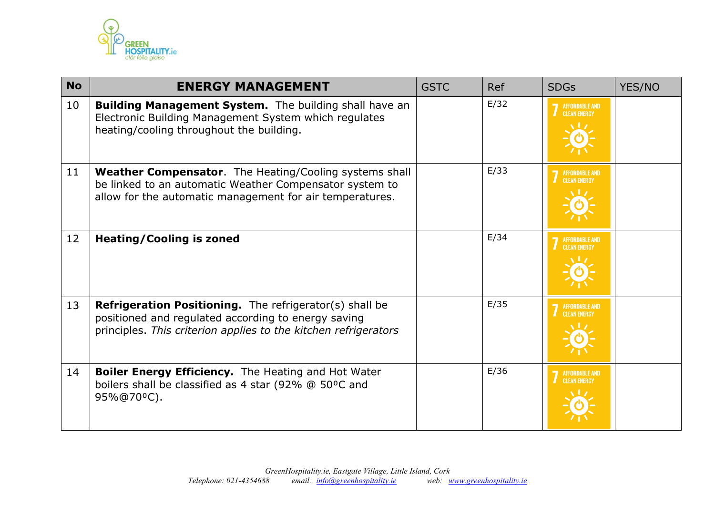

| <b>No</b> | <b>ENERGY MANAGEMENT</b>                                                                                                                                                                 | <b>GSTC</b> | <b>Ref</b> | <b>SDGs</b>                                  | YES/NO |
|-----------|------------------------------------------------------------------------------------------------------------------------------------------------------------------------------------------|-------------|------------|----------------------------------------------|--------|
| 10        | <b>Building Management System.</b> The building shall have an<br>Electronic Building Management System which regulates<br>heating/cooling throughout the building.                       |             | E/32       | <b>AFFORDABLE AND</b><br><b>CLEAN ENERGY</b> |        |
| 11        | Weather Compensator. The Heating/Cooling systems shall<br>be linked to an automatic Weather Compensator system to<br>allow for the automatic management for air temperatures.            |             | E/33       | AFFORDABLE AND<br>CLEAN ENERGY               |        |
| 12        | <b>Heating/Cooling is zoned</b>                                                                                                                                                          |             | E/34       | AFFORDABLE AND<br>CLEAN ENERGY               |        |
| 13        | <b>Refrigeration Positioning.</b> The refrigerator(s) shall be<br>positioned and regulated according to energy saving<br>principles. This criterion applies to the kitchen refrigerators |             | E/35       | <b>AFFORDABLE AND</b><br><b>CLEAN ENERGY</b> |        |
| 14        | Boiler Energy Efficiency. The Heating and Hot Water<br>boilers shall be classified as 4 star (92% @ 50°C and<br>95%@70°C).                                                               |             | E/36       | <b>AFFORDABLE AND</b><br><b>CLEAN ENERGY</b> |        |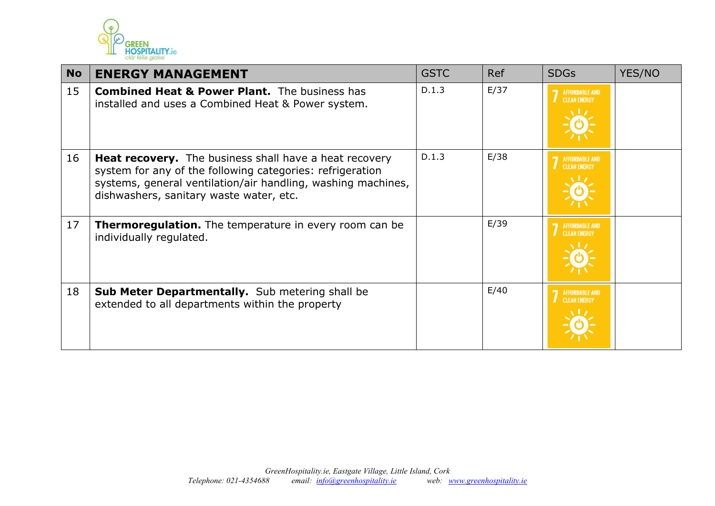

| <b>No</b> | <b>ENERGY MANAGEMENT</b>                                                                                                                                                                                                              | <b>GSTC</b> | <b>Ref</b> | <b>SDGs</b>                                  | YES/NO |
|-----------|---------------------------------------------------------------------------------------------------------------------------------------------------------------------------------------------------------------------------------------|-------------|------------|----------------------------------------------|--------|
| 15        | <b>Combined Heat &amp; Power Plant.</b> The business has<br>installed and uses a Combined Heat & Power system.                                                                                                                        | D.1.3       | E/37       | <b>AFFORDABLE AND</b><br><b>CLEAN ENERGY</b> |        |
| 16        | <b>Heat recovery.</b> The business shall have a heat recovery<br>system for any of the following categories: refrigeration<br>systems, general ventilation/air handling, washing machines,<br>dishwashers, sanitary waste water, etc. | D.1.3       | E/38       | <b>AFFORDABLE AND</b><br><b>CLEAN ENERGY</b> |        |
| 17        | <b>Thermoregulation.</b> The temperature in every room can be<br>individually regulated.                                                                                                                                              |             | E/39       | <b>AFFORDABLE AND</b><br><b>CLEAN ENERGY</b> |        |
| 18        | <b>Sub Meter Departmentally.</b> Sub metering shall be<br>extended to all departments within the property                                                                                                                             |             | E/40       | <b>AFFORDABLE AND</b><br><b>CLEAN ENERGY</b> |        |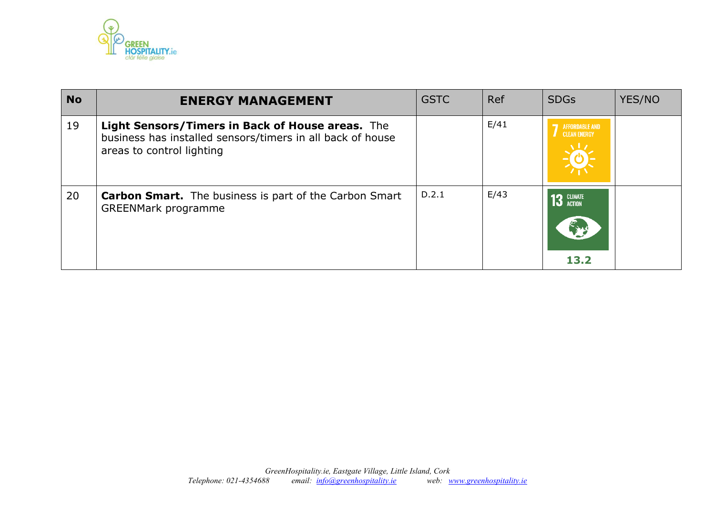

| <b>No</b> | <b>ENERGY MANAGEMENT</b>                                                                                                                    | <b>GSTC</b> | Ref  | <b>SDGs</b>                                           | YES/NO |
|-----------|---------------------------------------------------------------------------------------------------------------------------------------------|-------------|------|-------------------------------------------------------|--------|
| 19        | Light Sensors/Timers in Back of House areas. The<br>business has installed sensors/timers in all back of house<br>areas to control lighting |             | E/41 | <b>AFFORDABLE AND</b><br><b>CLEAN ENERGY</b>          |        |
| 20        | <b>Carbon Smart.</b> The business is part of the Carbon Smart<br><b>GREENMark programme</b>                                                 | D.2.1       | E/43 | <b>3</b> CLIMATE<br>$\widetilde{\mathcal{L}}$<br>13.2 |        |